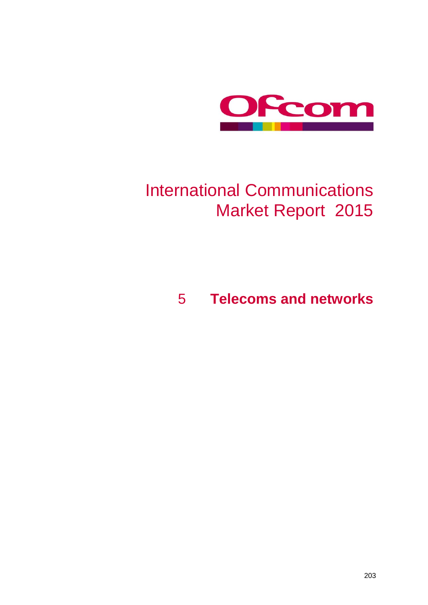

# International Communications Market Report 2015

## 5 **Telecoms and networks**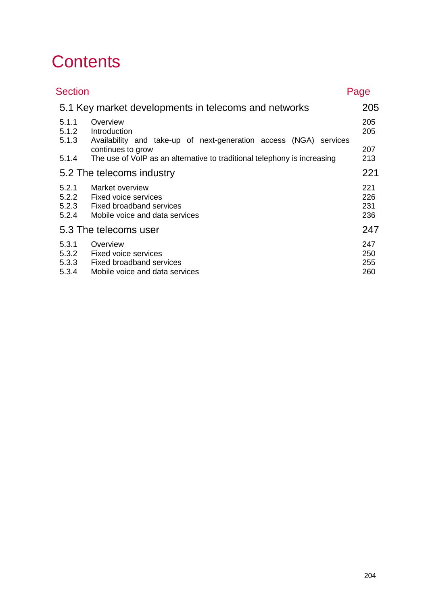# **Contents**

| <b>Section</b>                   |                                                                                                              | Page                     |
|----------------------------------|--------------------------------------------------------------------------------------------------------------|--------------------------|
|                                  | 5.1 Key market developments in telecoms and networks                                                         | 205                      |
| 5.1.1<br>5.1.2<br>5.1.3          | Overview<br>Introduction<br>Availability and take-up of next-generation access (NGA) services                | 205<br>205               |
| 5.1.4                            | continues to grow<br>The use of VoIP as an alternative to traditional telephony is increasing                | 207<br>213               |
|                                  | 5.2 The telecoms industry                                                                                    | 221                      |
| 5.2.1<br>5.2.2<br>5.2.3<br>5.2.4 | Market overview<br><b>Fixed voice services</b><br>Fixed broadband services<br>Mobile voice and data services | 221<br>226<br>231<br>236 |
|                                  | 5.3 The telecoms user                                                                                        | 247                      |
| 5.3.1<br>5.3.2<br>5.3.3<br>5.3.4 | Overview<br><b>Fixed voice services</b><br><b>Fixed broadband services</b><br>Mobile voice and data services | 247<br>250<br>255<br>260 |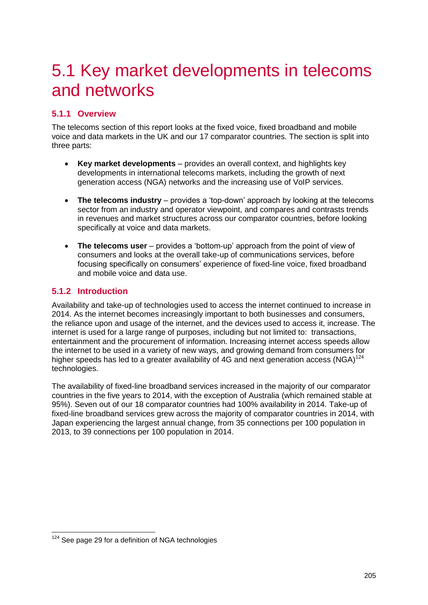## <span id="page-2-0"></span>5.1 Key market developments in telecoms and networks

## <span id="page-2-1"></span>**5.1.1 Overview**

The telecoms section of this report looks at the fixed voice, fixed broadband and mobile voice and data markets in the UK and our 17 comparator countries. The section is split into three parts:

- **Key market developments**  provides an overall context, and highlights key developments in international telecoms markets, including the growth of next generation access (NGA) networks and the increasing use of VoIP services.
- The telecoms industry provides a 'top-down' approach by looking at the telecoms sector from an industry and operator viewpoint, and compares and contrasts trends in revenues and market structures across our comparator countries, before looking specifically at voice and data markets.
- **The telecoms user** provides a 'bottom-up' approach from the point of view of consumers and looks at the overall take-up of communications services, before focusing specifically on consumers' experience of fixed-line voice, fixed broadband and mobile voice and data use.

## <span id="page-2-2"></span>**5.1.2 Introduction**

Availability and take-up of technologies used to access the internet continued to increase in 2014. As the internet becomes increasingly important to both businesses and consumers, the reliance upon and usage of the internet, and the devices used to access it, increase. The internet is used for a large range of purposes, including but not limited to: transactions, entertainment and the procurement of information. Increasing internet access speeds allow the internet to be used in a variety of new ways, and growing demand from consumers for higher speeds has led to a greater availability of 4G and next generation access (NGA)<sup>124</sup> technologies.

The availability of fixed-line broadband services increased in the majority of our comparator countries in the five years to 2014, with the exception of Australia (which remained stable at 95%). Seven out of our 18 comparator countries had 100% availability in 2014. Take-up of fixed-line broadband services grew across the majority of comparator countries in 2014, with Japan experiencing the largest annual change, from 35 connections per 100 population in 2013, to 39 connections per 100 population in 2014.

<sup>-</sup> $124$  See page [29](#page-4-0) for a definition of NGA technologies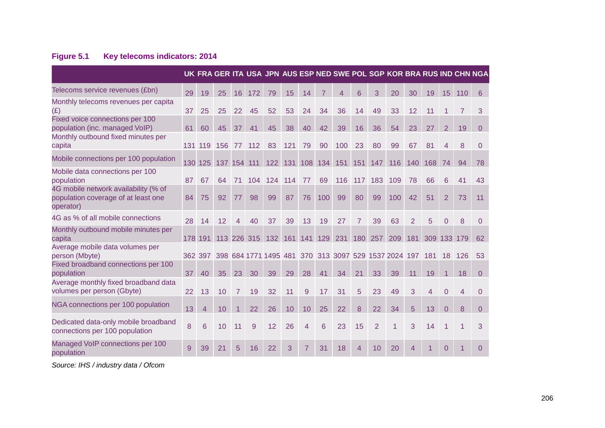## **Figure 5.1 Key telecoms indicators: 2014**

|                                                                                          |     |                |     |    |             |                 |     |                |                | UK FRA GER ITA USA JPN AUS ESP NED SWE POL SGP KOR BRA RUS IND CHN NGA |                |                |     |                |                |                |                |                |
|------------------------------------------------------------------------------------------|-----|----------------|-----|----|-------------|-----------------|-----|----------------|----------------|------------------------------------------------------------------------|----------------|----------------|-----|----------------|----------------|----------------|----------------|----------------|
| Telecoms service revenues (£bn)                                                          | 29  | 19             | 25  | 16 | 172         | 79              | 15  | 14             | $\overline{7}$ | 4                                                                      | 6              | 3              | 20  | 30             | 19             | 15             | 110            | 6              |
| Monthly telecoms revenues per capita<br>(E)                                              | 37  | 25             | 25  | 22 | 45          | 52              | 53  | 24             | 34             | 36                                                                     | 14             | 49             | 33  | 12             | 11             |                |                | 3              |
| Fixed voice connections per 100<br>population (inc. managed VoIP)                        | 61  | 60             | 45  | 37 | 41          | 45              | 38  | 40             | 42             | 39                                                                     | 16             | 36             | 54  | 23             | 27             | $\overline{2}$ | 19             | $\overline{0}$ |
| Monthly outbound fixed minutes per<br>capita                                             |     | 131 119        | 156 | 77 | 112         | 83              | 121 | 79             | 90             | 100                                                                    | 23             | 80             | 99  | 67             | 81             | 4              | 8              | $\Omega$       |
| Mobile connections per 100 population                                                    |     |                |     |    |             |                 |     |                |                | 130 125 137 154 111 122 131 108 134 151 151 147                        |                |                | 116 | 140            | 168 74         |                | 94             | 78             |
| Mobile data connections per 100<br>population                                            | 87  | 67             | 64  | 71 | 104         | 124             | 114 | 77             | 69             | 116                                                                    | 117            | 183            | 109 | 78             | 66             | 6              | 41             | 43             |
| 4G mobile network availability (% of<br>population coverage of at least one<br>operator) | 84  | 75             | 92  | 77 | 98          | 99              | 87  | 76             | 100            | 99                                                                     | 80             | 99             | 100 | 42             | 51             | $\overline{2}$ | 73             | 11             |
| 4G as % of all mobile connections                                                        | 28  | 14             | 12  | 4  | 40          | 37              | 39  | 13             | 19             | 27                                                                     | $\overline{7}$ | 39             | 63  | 2              | 5              | $\Omega$       | 8              | $\Omega$       |
| Monthly outbound mobile minutes per<br>capita                                            | 178 | 191            |     |    | 113 226 315 | 132 161 141 129 |     |                |                | 231                                                                    | 180            | 257            | 209 | 181            | 309 133        |                | 179            | 62             |
| Average mobile data volumes per<br>person (Mbyte)                                        |     | 362 397        |     |    |             |                 |     |                |                | 398 684 1771 1495 481 370 313 3097 529 1537 2024 197 181 18            |                |                |     |                |                |                | 126            | 53             |
| Fixed broadband connections per 100<br>population                                        | 37  | 40             | 35  | 23 | 30          | 39              | 29  | 28             | 41             | 34                                                                     | 21             | 33             | 39  | 11             | 19             |                | 18             | $\Omega$       |
| Average monthly fixed broadband data<br>volumes per person (Gbyte)                       | 22  | 13             | 10  |    | 19          | 32              | 11  | 9              | 17             | 31                                                                     | 5              | 23             | 49  | 3              | $\overline{4}$ | $\Omega$       | 4              | $\Omega$       |
| NGA connections per 100 population                                                       | 13  | $\overline{4}$ | 10  |    | 22          | 26              | 10  | 10             | 25             | 22                                                                     | 8              | 22             | 34  | 5              | 13             | $\Omega$       | 8              | $\Omega$       |
| Dedicated data-only mobile broadband<br>connections per 100 population                   | 8   | 6              | 10  | 11 | 9           | 12              | 26  | $\overline{4}$ | 6              | 23                                                                     | 15             | $\overline{2}$ | 1   | 3              | 14             | 1              | $\overline{1}$ | 3              |
| Managed VoIP connections per 100<br>population                                           | 9   | 39             | 21  | 5  | 16          | 22              | 3   | $\overline{7}$ | 31             | 18                                                                     | $\overline{4}$ | 10             | 20  | $\overline{4}$ | 1              | $\Omega$       | 1              | $\Omega$       |

*Source: IHS / industry data / Ofcom*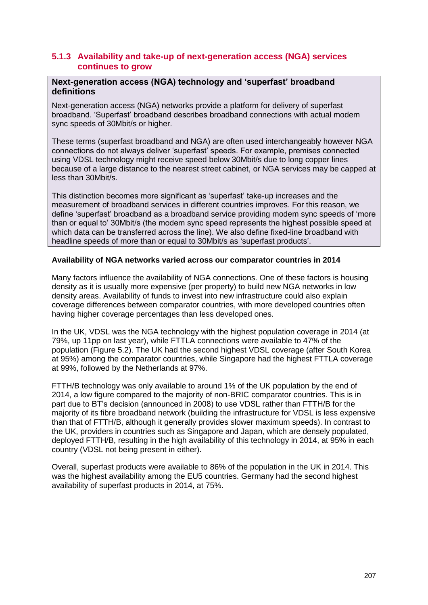### <span id="page-4-0"></span>**5.1.3 Availability and take-up of next-generation access (NGA) services continues to grow**

#### **Next-generation access (NGA) technology and 'superfast' broadband definitions**

Next-generation access (NGA) networks provide a platform for delivery of superfast broadband. 'Superfast' broadband describes broadband connections with actual modem sync speeds of 30Mbit/s or higher.

These terms (superfast broadband and NGA) are often used interchangeably however NGA connections do not always deliver 'superfast' speeds. For example, premises connected using VDSL technology might receive speed below 30Mbit/s due to long copper lines because of a large distance to the nearest street cabinet, or NGA services may be capped at less than 30Mbit/s.

This distinction becomes more significant as 'superfast' take-up increases and the measurement of broadband services in different countries improves. For this reason, we define 'superfast' broadband as a broadband service providing modem sync speeds of 'more than or equal to' 30Mbit/s (the modem sync speed represents the highest possible speed at which data can be transferred across the line). We also define fixed-line broadband with headline speeds of more than or equal to 30Mbit/s as 'superfast products'.

#### **Availability of NGA networks varied across our comparator countries in 2014**

Many factors influence the availability of NGA connections. One of these factors is housing density as it is usually more expensive (per property) to build new NGA networks in low density areas. Availability of funds to invest into new infrastructure could also explain coverage differences between comparator countries, with more developed countries often having higher coverage percentages than less developed ones.

In the UK, VDSL was the NGA technology with the highest population coverage in 2014 (at 79%, up 11pp on last year), while FTTLA connections were available to 47% of the population [\(Figure 5.2\)](#page-5-0). The UK had the second highest VDSL coverage (after South Korea at 95%) among the comparator countries, while Singapore had the highest FTTLA coverage at 99%, followed by the Netherlands at 97%.

FTTH/B technology was only available to around 1% of the UK population by the end of 2014, a low figure compared to the majority of non-BRIC comparator countries. This is in part due to BT's decision (announced in 2008) to use VDSL rather than FTTH/B for the majority of its fibre broadband network (building the infrastructure for VDSL is less expensive than that of FTTH/B, although it generally provides slower maximum speeds). In contrast to the UK, providers in countries such as Singapore and Japan, which are densely populated, deployed FTTH/B, resulting in the high availability of this technology in 2014, at 95% in each country (VDSL not being present in either).

Overall, superfast products were available to 86% of the population in the UK in 2014. This was the highest availability among the EU5 countries. Germany had the second highest availability of superfast products in 2014, at 75%.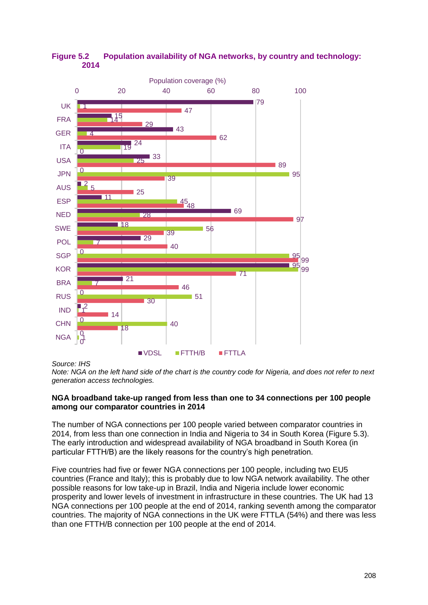

<span id="page-5-0"></span>**Figure 5.2 Population availability of NGA networks, by country and technology: 2014**

#### *Source: IHS*

*Note: NGA on the left hand side of the chart is the country code for Nigeria, and does not refer to next generation access technologies.*

#### **NGA broadband take-up ranged from less than one to 34 connections per 100 people among our comparator countries in 2014**

The number of NGA connections per 100 people varied between comparator countries in 2014, from less than one connection in India and Nigeria to 34 in South Korea [\(Figure 5.3\)](#page-6-0). The early introduction and widespread availability of NGA broadband in South Korea (in particular FTTH/B) are the likely reasons for the country's high penetration.

Five countries had five or fewer NGA connections per 100 people, including two EU5 countries (France and Italy); this is probably due to low NGA network availability. The other possible reasons for low take-up in Brazil, India and Nigeria include lower economic prosperity and lower levels of investment in infrastructure in these countries. The UK had 13 NGA connections per 100 people at the end of 2014, ranking seventh among the comparator countries. The majority of NGA connections in the UK were FTTLA (54%) and there was less than one FTTH/B connection per 100 people at the end of 2014.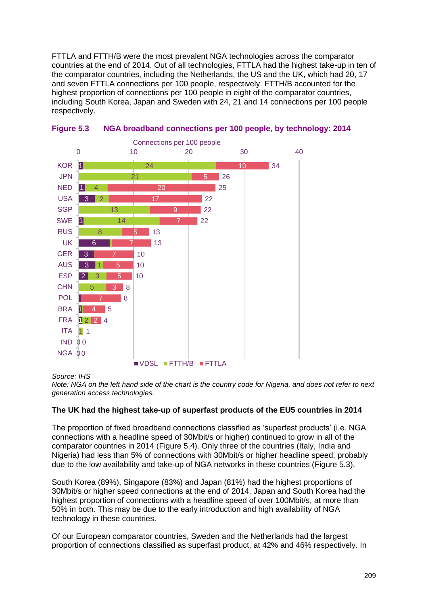FTTLA and FTTH/B were the most prevalent NGA technologies across the comparator countries at the end of 2014. Out of all technologies, FTTLA had the highest take-up in ten of the comparator countries, including the Netherlands, the US and the UK, which had 20, 17 and seven FTTLA connections per 100 people, respectively. FTTH/B accounted for the highest proportion of connections per 100 people in eight of the comparator countries. including South Korea, Japan and Sweden with 24, 21 and 14 connections per 100 people respectively.



<span id="page-6-0"></span>

#### *Source: IHS*

*Note: NGA on the left hand side of the chart is the country code for Nigeria, and does not refer to next generation access technologies.*

#### **The UK had the highest take-up of superfast products of the EU5 countries in 2014**

The proportion of fixed broadband connections classified as 'superfast products' (i.e. NGA connections with a headline speed of 30Mbit/s or higher) continued to grow in all of the comparator countries in 2014 [\(Figure 5.4\)](#page-8-0). Only three of the countries (Italy, India and Nigeria) had less than 5% of connections with 30Mbit/s or higher headline speed, probably due to the low availability and take-up of NGA networks in these countries [\(Figure 5.3\)](#page-6-0).

South Korea (89%), Singapore (83%) and Japan (81%) had the highest proportions of 30Mbit/s or higher speed connections at the end of 2014. Japan and South Korea had the highest proportion of connections with a headline speed of over 100Mbit/s, at more than 50% in both. This may be due to the early introduction and high availability of NGA technology in these countries.

Of our European comparator countries, Sweden and the Netherlands had the largest proportion of connections classified as superfast product, at 42% and 46% respectively. In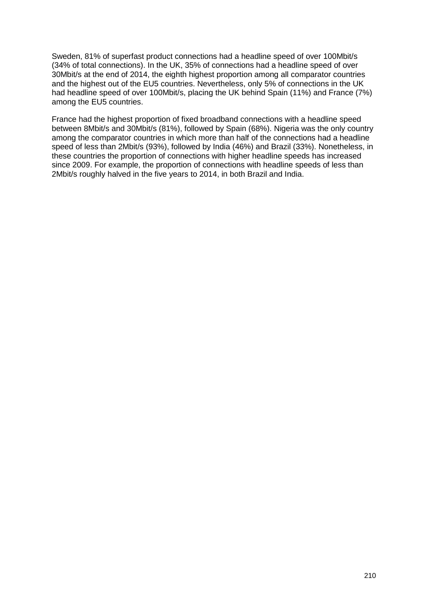Sweden, 81% of superfast product connections had a headline speed of over 100Mbit/s (34% of total connections). In the UK, 35% of connections had a headline speed of over 30Mbit/s at the end of 2014, the eighth highest proportion among all comparator countries and the highest out of the EU5 countries. Nevertheless, only 5% of connections in the UK had headline speed of over 100Mbit/s, placing the UK behind Spain (11%) and France (7%) among the EU5 countries.

France had the highest proportion of fixed broadband connections with a headline speed between 8Mbit/s and 30Mbit/s (81%), followed by Spain (68%). Nigeria was the only country among the comparator countries in which more than half of the connections had a headline speed of less than 2Mbit/s (93%), followed by India (46%) and Brazil (33%). Nonetheless, in these countries the proportion of connections with higher headline speeds has increased since 2009. For example, the proportion of connections with headline speeds of less than 2Mbit/s roughly halved in the five years to 2014, in both Brazil and India.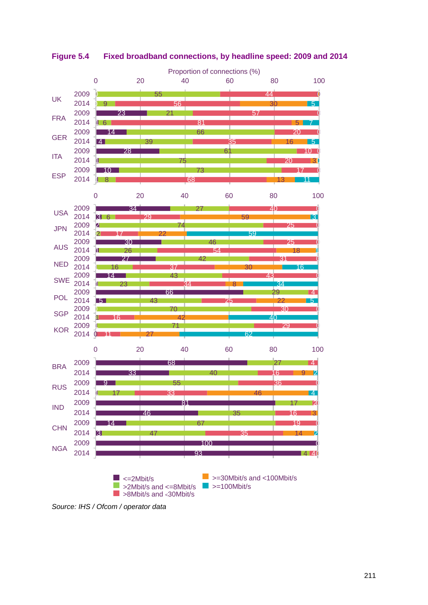

<span id="page-8-0"></span>**Figure 5.4 Fixed broadband connections, by headline speed: 2009 and 2014**

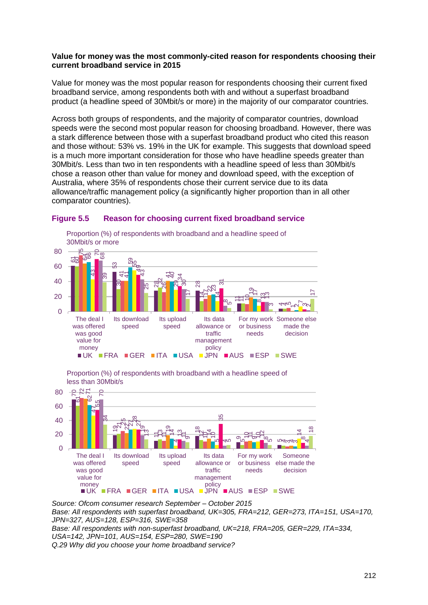#### **Value for money was the most commonly-cited reason for respondents choosing their current broadband service in 2015**

Value for money was the most popular reason for respondents choosing their current fixed broadband service, among respondents both with and without a superfast broadband product (a headline speed of 30Mbit/s or more) in the majority of our comparator countries.

Across both groups of respondents, and the majority of comparator countries, download speeds were the second most popular reason for choosing broadband. However, there was a stark difference between those with a superfast broadband product who cited this reason and those without: 53% vs. 19% in the UK for example. This suggests that download speed is a much more important consideration for those who have headline speeds greater than 30Mbit/s. Less than two in ten respondents with a headline speed of less than 30Mbit/s chose a reason other than value for money and download speed, with the exception of Australia, where 35% of respondents chose their current service due to its data allowance/traffic management policy (a significantly higher proportion than in all other comparator countries).



#### **Figure 5.5 Reason for choosing current fixed broadband service**

Proportion (%) of respondents with broadband with a headline speed of less than 30Mbit/s



*Source: Ofcom consumer research September – October 2015 Base: All respondents with superfast broadband, UK=305, FRA=212, GER=273, ITA=151, USA=170, JPN=327, AUS=128, ESP=316, SWE=358 Base: All respondents with non-superfast broadband, UK=218, FRA=205, GER=229, ITA=334, USA=142, JPN=101, AUS=154, ESP=280, SWE=190 Q.29 Why did you choose your home broadband service?*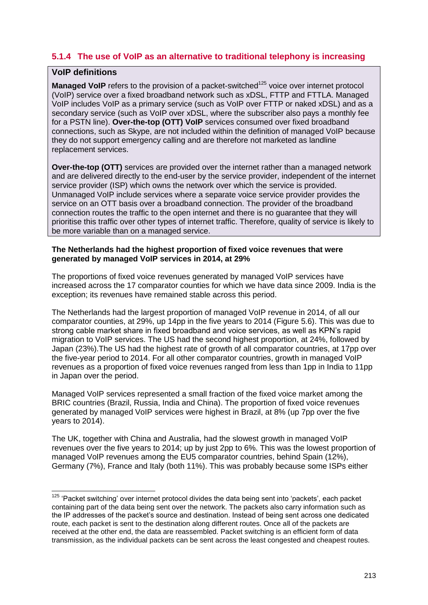## <span id="page-10-0"></span>**5.1.4 The use of VoIP as an alternative to traditional telephony is increasing**

#### **VoIP definitions**

**Managed VoIP** refers to the provision of a packet-switched<sup>125</sup> voice over internet protocol (VoIP) service over a fixed broadband network such as xDSL, FTTP and FTTLA. Managed VoIP includes VoIP as a primary service (such as VoIP over FTTP or naked xDSL) and as a secondary service (such as VoIP over xDSL, where the subscriber also pays a monthly fee for a PSTN line). **Over-the-top (OTT) VoIP** services consumed over fixed broadband connections, such as Skype, are not included within the definition of managed VoIP because they do not support emergency calling and are therefore not marketed as landline replacement services.

**Over-the-top (OTT)** services are provided over the internet rather than a managed network and are delivered directly to the end-user by the service provider, independent of the internet service provider (ISP) which owns the network over which the service is provided. Unmanaged VoIP include services where a separate voice service provider provides the service on an OTT basis over a broadband connection. The provider of the broadband connection routes the traffic to the open internet and there is no guarantee that they will prioritise this traffic over other types of internet traffic. Therefore, quality of service is likely to be more variable than on a managed service.

#### **The Netherlands had the highest proportion of fixed voice revenues that were generated by managed VoIP services in 2014, at 29%**

The proportions of fixed voice revenues generated by managed VoIP services have increased across the 17 comparator counties for which we have data since 2009. India is the exception; its revenues have remained stable across this period.

The Netherlands had the largest proportion of managed VoIP revenue in 2014, of all our comparator counties, at 29%, up 14pp in the five years to 2014 [\(Figure](#page-11-0) 5.6). This was due to strong cable market share in fixed broadband and voice services, as well as KPN's rapid migration to VoIP services. The US had the second highest proportion, at 24%, followed by Japan (23%).The US had the highest rate of growth of all comparator countries, at 17pp over the five-year period to 2014. For all other comparator countries, growth in managed VoIP revenues as a proportion of fixed voice revenues ranged from less than 1pp in India to 11pp in Japan over the period.

Managed VoIP services represented a small fraction of the fixed voice market among the BRIC countries (Brazil, Russia, India and China). The proportion of fixed voice revenues generated by managed VoIP services were highest in Brazil, at 8% (up 7pp over the five years to 2014).

The UK, together with China and Australia, had the slowest growth in managed VoIP revenues over the five years to 2014; up by just 2pp to 6%. This was the lowest proportion of managed VoIP revenues among the EU5 comparator countries, behind Spain (12%), Germany (7%), France and Italy (both 11%). This was probably because some ISPs either

 $\overline{1}$  $125$  'Packet switching' over internet protocol divides the data being sent into 'packets', each packet containing part of the data being sent over the network. The packets also carry information such as the IP addresses of the packet's source and destination. Instead of being sent across one dedicated route, each packet is sent to the destination along different routes. Once all of the packets are received at the other end, the data are reassembled. Packet switching is an efficient form of data transmission, as the individual packets can be sent across the least congested and cheapest routes.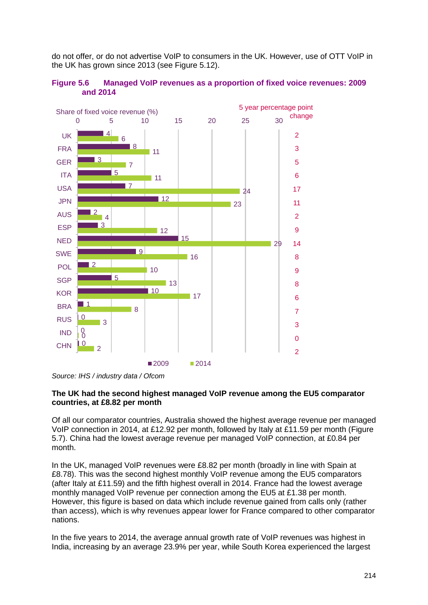do not offer, or do not advertise VoIP to consumers in the UK. However, use of OTT VoIP in the UK has grown since 2013 (see [Figure 5.12\)](#page-17-0).

<span id="page-11-0"></span>



*Source: IHS / industry data / Ofcom*

#### **The UK had the second highest managed VoIP revenue among the EU5 comparator countries, at £8.82 per month**

Of all our comparator countries, Australia showed the highest average revenue per managed VoIP connection in 2014, at £12.92 per month, followed by Italy at £11.59 per month [\(Figure](#page-12-0)  [5.7\)](#page-12-0). China had the lowest average revenue per managed VoIP connection, at £0.84 per month.

In the UK, managed VoIP revenues were £8.82 per month (broadly in line with Spain at £8.78). This was the second highest monthly VoIP revenue among the EU5 comparators (after Italy at £11.59) and the fifth highest overall in 2014. France had the lowest average monthly managed VoIP revenue per connection among the EU5 at £1.38 per month. However, this figure is based on data which include revenue gained from calls only (rather than access), which is why revenues appear lower for France compared to other comparator nations.

In the five years to 2014, the average annual growth rate of VoIP revenues was highest in India, increasing by an average 23.9% per year, while South Korea experienced the largest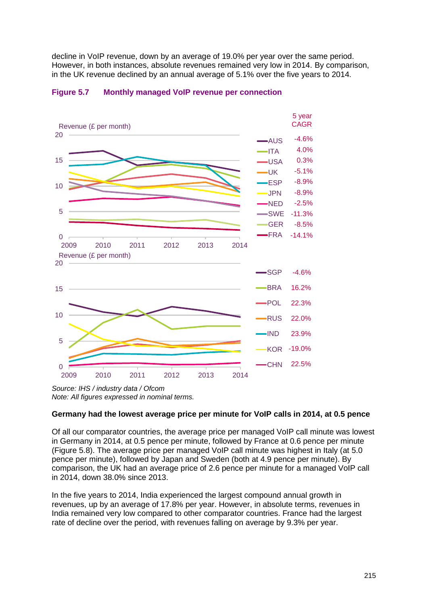decline in VoIP revenue, down by an average of 19.0% per year over the same period. However, in both instances, absolute revenues remained very low in 2014. By comparison, in the UK revenue declined by an annual average of 5.1% over the five years to 2014.



#### <span id="page-12-0"></span>**Figure 5.7 Monthly managed VoIP revenue per connection**

*Source: IHS / industry data / Ofcom Note: All figures expressed in nominal terms.*

#### **Germany had the lowest average price per minute for VoIP calls in 2014, at 0.5 pence**

Of all our comparator countries, the average price per managed VoIP call minute was lowest in Germany in 2014, at 0.5 pence per minute, followed by France at 0.6 pence per minute [\(Figure 5.8\)](#page-13-0). The average price per managed VoIP call minute was highest in Italy (at 5.0 pence per minute), followed by Japan and Sweden (both at 4.9 pence per minute). By comparison, the UK had an average price of 2.6 pence per minute for a managed VoIP call in 2014, down 38.0% since 2013.

In the five years to 2014, India experienced the largest compound annual growth in revenues, up by an average of 17.8% per year. However, in absolute terms, revenues in India remained very low compared to other comparator countries. France had the largest rate of decline over the period, with revenues falling on average by 9.3% per year.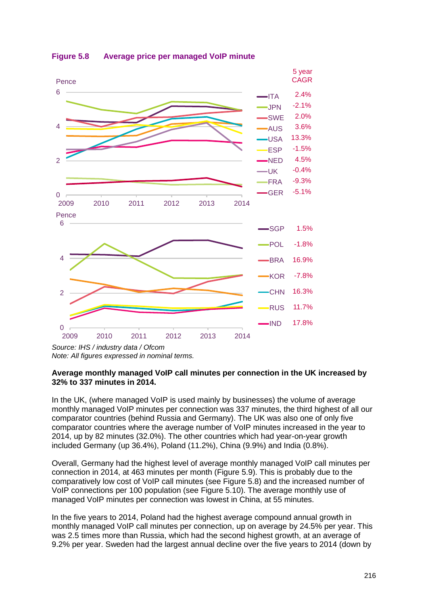

<span id="page-13-0"></span>**Figure 5.8 Average price per managed VoIP minute**

#### **Average monthly managed VoIP call minutes per connection in the UK increased by 32% to 337 minutes in 2014.**

In the UK, (where managed VoIP is used mainly by businesses) the volume of average monthly managed VoIP minutes per connection was 337 minutes, the third highest of all our comparator countries (behind Russia and Germany). The UK was also one of only five comparator countries where the average number of VoIP minutes increased in the year to 2014, up by 82 minutes (32.0%). The other countries which had year-on-year growth included Germany (up 36.4%), Poland (11.2%), China (9.9%) and India (0.8%).

Overall, Germany had the highest level of average monthly managed VoIP call minutes per connection in 2014, at 463 minutes per month [\(Figure 5.9\)](#page-14-0). This is probably due to the comparatively low cost of VoIP call minutes (see [Figure 5.8\)](#page-13-0) and the increased number of VoIP connections per 100 population (see [Figure 5.10\)](#page-15-0). The average monthly use of managed VoIP minutes per connection was lowest in China, at 55 minutes.

In the five years to 2014, Poland had the highest average compound annual growth in monthly managed VoIP call minutes per connection, up on average by 24.5% per year. This was 2.5 times more than Russia, which had the second highest growth, at an average of 9.2% per year. Sweden had the largest annual decline over the five years to 2014 (down by

*Source: IHS / industry data / Ofcom Note: All figures expressed in nominal terms.*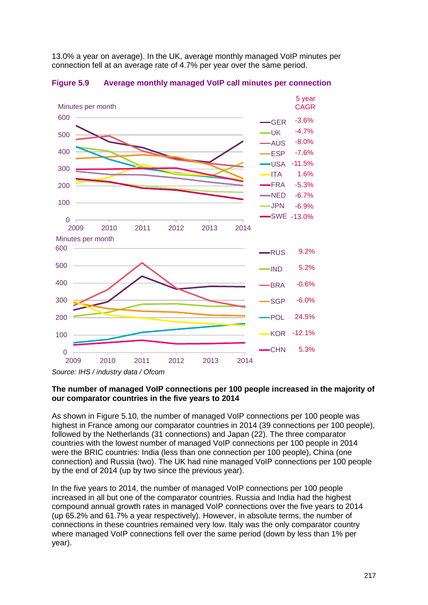13.0% a year on average). In the UK, average monthly managed VoIP minutes per connection fell at an average rate of 4.7% per year over the same period.



<span id="page-14-0"></span>**Figure 5.9 Average monthly managed VoIP call minutes per connection**

#### **The number of managed VoIP connections per 100 people increased in the majority of our comparator countries in the five years to 2014**

As shown in [Figure 5.10,](#page-15-0) the number of managed VoIP connections per 100 people was highest in France among our comparator countries in 2014 (39 connections per 100 people), followed by the Netherlands (31 connections) and Japan (22). The three comparator countries with the lowest number of managed VoIP connections per 100 people in 2014 were the BRIC countries: India (less than one connection per 100 people), China (one connection) and Russia (two). The UK had nine managed VoIP connections per 100 people by the end of 2014 (up by two since the previous year).

In the five years to 2014, the number of managed VoIP connections per 100 people increased in all but one of the comparator countries. Russia and India had the highest compound annual growth rates in managed VoIP connections over the five years to 2014 (up 65.2% and 61.7% a year respectively). However, in absolute terms, the number of connections in these countries remained very low. Italy was the only comparator country where managed VoIP connections fell over the same period (down by less than 1% per year).

*Source: IHS / industry data / Ofcom*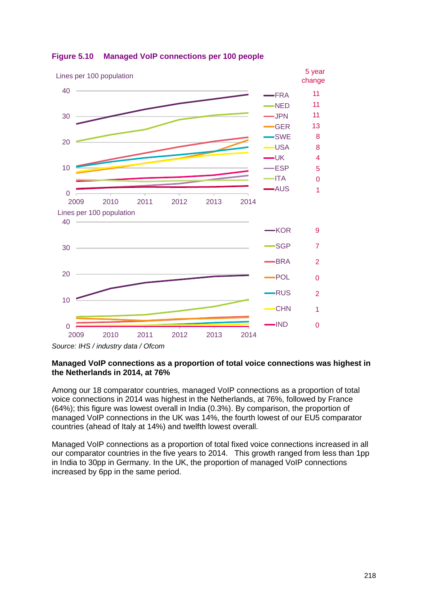

#### <span id="page-15-0"></span>**Figure 5.10 Managed VoIP connections per 100 people**

#### **Managed VoIP connections as a proportion of total voice connections was highest in the Netherlands in 2014, at 76%**

Among our 18 comparator countries, managed VoIP connections as a proportion of total voice connections in 2014 was highest in the Netherlands, at 76%, followed by France (64%); this figure was lowest overall in India (0.3%). By comparison, the proportion of managed VoIP connections in the UK was 14%, the fourth lowest of our EU5 comparator countries (ahead of Italy at 14%) and twelfth lowest overall.

Managed VoIP connections as a proportion of total fixed voice connections increased in all our comparator countries in the five years to 2014. This growth ranged from less than 1pp in India to 30pp in Germany. In the UK, the proportion of managed VoIP connections increased by 6pp in the same period.

*Source: IHS / industry data / Ofcom*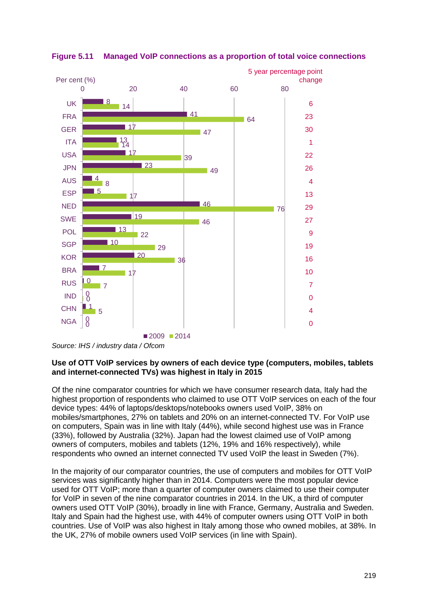

**Figure 5.11 Managed VoIP connections as a proportion of total voice connections**

#### **Use of OTT VoIP services by owners of each device type (computers, mobiles, tablets and internet-connected TVs) was highest in Italy in 2015**

Of the nine comparator countries for which we have consumer research data, Italy had the highest proportion of respondents who claimed to use OTT VoIP services on each of the four device types: 44% of laptops/desktops/notebooks owners used VoIP, 38% on mobiles/smartphones, 27% on tablets and 20% on an internet-connected TV. For VoIP use on computers, Spain was in line with Italy (44%), while second highest use was in France (33%), followed by Australia (32%). Japan had the lowest claimed use of VoIP among owners of computers, mobiles and tablets (12%, 19% and 16% respectively), while respondents who owned an internet connected TV used VoIP the least in Sweden (7%).

In the majority of our comparator countries, the use of computers and mobiles for OTT VoIP services was significantly higher than in 2014. Computers were the most popular device used for OTT VoIP; more than a quarter of computer owners claimed to use their computer for VoIP in seven of the nine comparator countries in 2014. In the UK, a third of computer owners used OTT VoIP (30%), broadly in line with France, Germany, Australia and Sweden. Italy and Spain had the highest use, with 44% of computer owners using OTT VoIP in both countries. Use of VoIP was also highest in Italy among those who owned mobiles, at 38%. In the UK, 27% of mobile owners used VoIP services (in line with Spain).

*Source: IHS / industry data / Ofcom*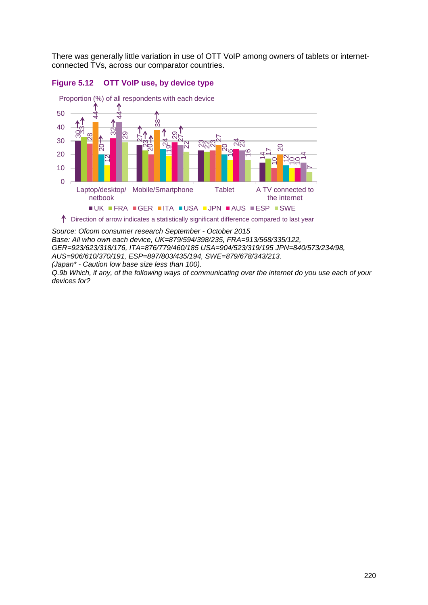There was generally little variation in use of OTT VoIP among owners of tablets or internetconnected TVs, across our comparator countries.

<span id="page-17-0"></span>



 $\uparrow$  Direction of arrow indicates a statistically significant difference compared to last year

*Source: Ofcom consumer research September - October 2015 Base: All who own each device, UK=879/594/398/235, FRA=913/568/335/122, GER=923/623/318/176, ITA=876/779/460/185 USA=904/523/319/195 JPN=840/573/234/98, AUS=906/610/370/191, ESP=897/803/435/194, SWE=879/678/343/213. (Japan\* - Caution low base size less than 100).* 

*Q.9b Which, if any, of the following ways of communicating over the internet do you use each of your devices for?*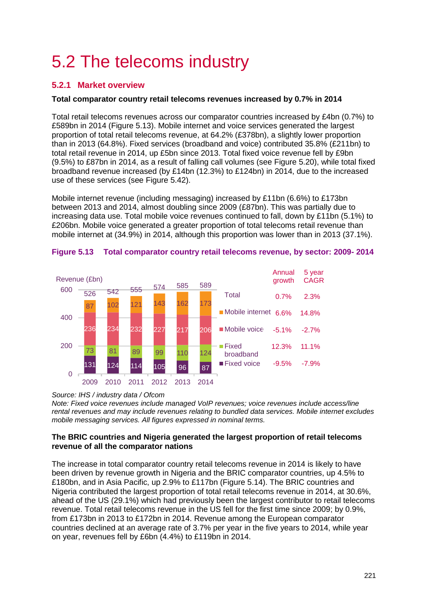# <span id="page-18-0"></span>5.2 The telecoms industry

## <span id="page-18-1"></span>**5.2.1 Market overview**

#### **Total comparator country retail telecoms revenues increased by 0.7% in 2014**

Total retail telecoms revenues across our comparator countries increased by £4bn (0.7%) to £589bn in 2014 [\(Figure 5.13\)](#page-18-2). Mobile internet and voice services generated the largest proportion of total retail telecoms revenue, at 64.2% (£378bn), a slightly lower proportion than in 2013 (64.8%). Fixed services (broadband and voice) contributed 35.8% (£211bn) to total retail revenue in 2014, up £5bn since 2013. Total fixed voice revenue fell by £9bn (9.5%) to £87bn in 2014, as a result of falling call volumes (see [Figure 5.20\)](#page-25-0), while total fixed broadband revenue increased (by £14bn (12.3%) to £124bn) in 2014, due to the increased use of these services (see [Figure 5.42\)](#page-46-0).

Mobile internet revenue (including messaging) increased by £11bn (6.6%) to £173bn between 2013 and 2014, almost doubling since 2009 (£87bn). This was partially due to increasing data use. Total mobile voice revenues continued to fall, down by £11bn (5.1%) to £206bn. Mobile voice generated a greater proportion of total telecoms retail revenue than mobile internet at (34.9%) in 2014, although this proportion was lower than in 2013 (37.1%).



#### <span id="page-18-2"></span>**Figure 5.13 Total comparator country retail telecoms revenue, by sector: 2009- 2014**

#### *Source: IHS / industry data / Ofcom*

*Note: Fixed voice revenues include managed VoIP revenues; voice revenues include access/line rental revenues and may include revenues relating to bundled data services. Mobile internet excludes mobile messaging services. All figures expressed in nominal terms.*

#### **The BRIC countries and Nigeria generated the largest proportion of retail telecoms revenue of all the comparator nations**

The increase in total comparator country retail telecoms revenue in 2014 is likely to have been driven by revenue growth in Nigeria and the BRIC comparator countries, up 4.5% to £180bn, and in Asia Pacific, up 2.9% to £117bn [\(Figure 5.14\)](#page-19-0). The BRIC countries and Nigeria contributed the largest proportion of total retail telecoms revenue in 2014, at 30.6%, ahead of the US (29.1%) which had previously been the largest contributor to retail telecoms revenue. Total retail telecoms revenue in the US fell for the first time since 2009; by 0.9%, from £173bn in 2013 to £172bn in 2014. Revenue among the European comparator countries declined at an average rate of 3.7% per year in the five years to 2014, while year on year, revenues fell by £6bn (4.4%) to £119bn in 2014.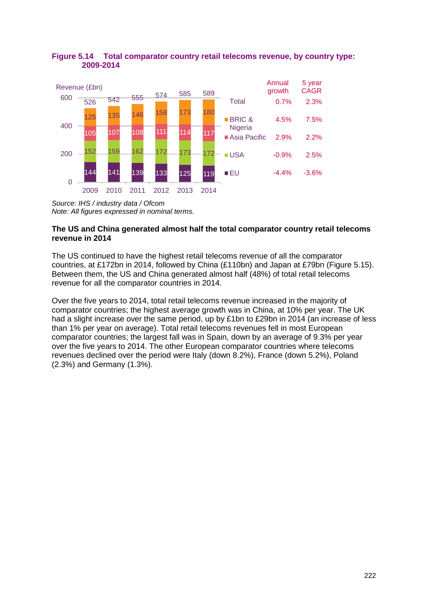

#### <span id="page-19-0"></span>**Figure 5.14 Total comparator country retail telecoms revenue, by country type: 2009-2014**

#### **The US and China generated almost half the total comparator country retail telecoms revenue in 2014**

The US continued to have the highest retail telecoms revenue of all the comparator countries, at £172bn in 2014, followed by China (£110bn) and Japan at £79bn [\(Figure 5.15\)](#page-20-0). Between them, the US and China generated almost half (48%) of total retail telecoms revenue for all the comparator countries in 2014.

Over the five years to 2014, total retail telecoms revenue increased in the majority of comparator countries; the highest average growth was in China, at 10% per year. The UK had a slight increase over the same period, up by £1bn to £29bn in 2014 (an increase of less than 1% per year on average). Total retail telecoms revenues fell in most European comparator countries; the largest fall was in Spain, down by an average of 9.3% per year over the five years to 2014. The other European comparator countries where telecoms revenues declined over the period were Italy (down 8.2%), France (down 5.2%), Poland (2.3%) and Germany (1.3%).

*Source: IHS / industry data / Ofcom Note: All figures expressed in nominal terms.*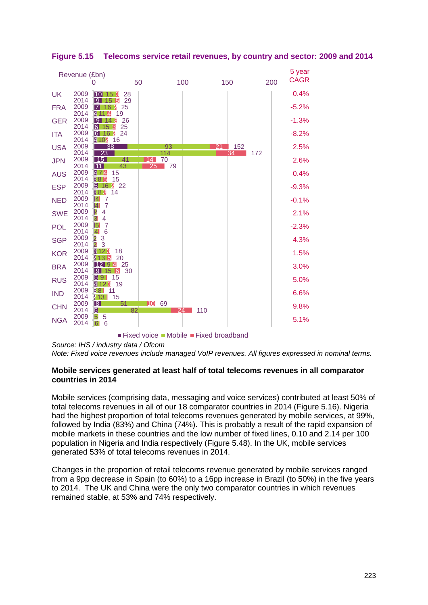

<span id="page-20-0"></span>**Figure 5.15 Telecoms service retail revenues, by country and sector: 2009 and 2014**

**Fixed voice Mobile Fixed broadband** 

*Source: IHS / industry data / Ofcom*

*Note: Fixed voice revenues include managed VoIP revenues. All figures expressed in nominal terms.*

#### **Mobile services generated at least half of total telecoms revenues in all comparator countries in 2014**

Mobile services (comprising data, messaging and voice services) contributed at least 50% of total telecoms revenues in all of our 18 comparator countries in 2014 [\(Figure 5.16\)](#page-21-0). Nigeria had the highest proportion of total telecoms revenues generated by mobile services, at 99%, followed by India (83%) and China (74%). This is probably a result of the rapid expansion of mobile markets in these countries and the low number of fixed lines, 0.10 and 2.14 per 100 population in Nigeria and India respectively [\(Figure 5.48\)](#page-52-1). In the UK, mobile services generated 53% of total telecoms revenues in 2014.

Changes in the proportion of retail telecoms revenue generated by mobile services ranged from a 9pp decrease in Spain (to 60%) to a 16pp increase in Brazil (to 50%) in the five years to 2014. The UK and China were the only two comparator countries in which revenues remained stable, at 53% and 74% respectively.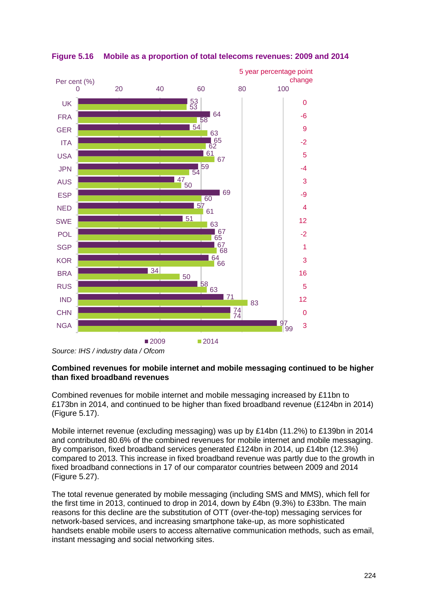

#### <span id="page-21-0"></span>**Figure 5.16 Mobile as a proportion of total telecoms revenues: 2009 and 2014**

*Source: IHS / industry data / Ofcom*

#### **Combined revenues for mobile internet and mobile messaging continued to be higher than fixed broadband revenues**

Combined revenues for mobile internet and mobile messaging increased by £11bn to £173bn in 2014, and continued to be higher than fixed broadband revenue (£124bn in 2014) [\(Figure 5.17\)](#page-22-0).

Mobile internet revenue (excluding messaging) was up by £14bn (11.2%) to £139bn in 2014 and contributed 80.6% of the combined revenues for mobile internet and mobile messaging. By comparison, fixed broadband services generated £124bn in 2014, up £14bn (12.3%) compared to 2013. This increase in fixed broadband revenue was partly due to the growth in fixed broadband connections in 17 of our comparator countries between 2009 and 2014 [\(Figure 5.27\)](#page-32-0).

The total revenue generated by mobile messaging (including SMS and MMS), which fell for the first time in 2013, continued to drop in 2014, down by £4bn (9.3%) to £33bn. The main reasons for this decline are the substitution of OTT (over-the-top) messaging services for network-based services, and increasing smartphone take-up, as more sophisticated handsets enable mobile users to access alternative communication methods, such as email, instant messaging and social networking sites.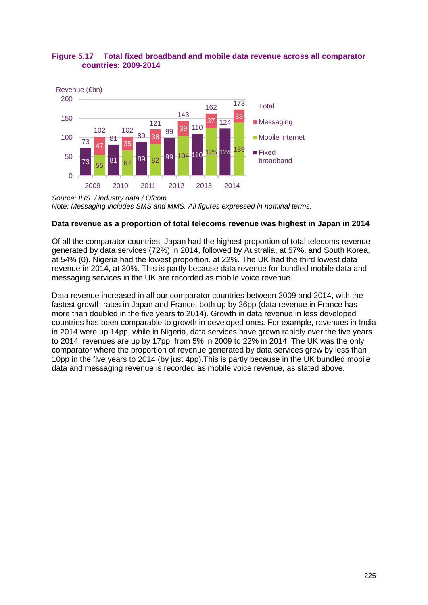#### <span id="page-22-0"></span>**Figure 5.17 Total fixed broadband and mobile data revenue across all comparator countries: 2009-2014**



*Source: IHS / industry data / Ofcom Note: Messaging includes SMS and MMS. All figures expressed in nominal terms.*

#### **Data revenue as a proportion of total telecoms revenue was highest in Japan in 2014**

Of all the comparator countries, Japan had the highest proportion of total telecoms revenue generated by data services (72%) in 2014, followed by Australia, at 57%, and South Korea, at 54% [\(0\)](#page-22-1). Nigeria had the lowest proportion, at 22%. The UK had the third lowest data revenue in 2014, at 30%. This is partly because data revenue for bundled mobile data and messaging services in the UK are recorded as mobile voice revenue.

<span id="page-22-1"></span>Data revenue increased in all our comparator countries between 2009 and 2014, with the fastest growth rates in Japan and France, both up by 26pp (data revenue in France has more than doubled in the five years to 2014). Growth in data revenue in less developed countries has been comparable to growth in developed ones. For example, revenues in India in 2014 were up 14pp, while in Nigeria, data services have grown rapidly over the five years to 2014; revenues are up by 17pp, from 5% in 2009 to 22% in 2014. The UK was the only comparator where the proportion of revenue generated by data services grew by less than 10pp in the five years to 2014 (by just 4pp).This is partly because in the UK bundled mobile data and messaging revenue is recorded as mobile voice revenue, as stated above.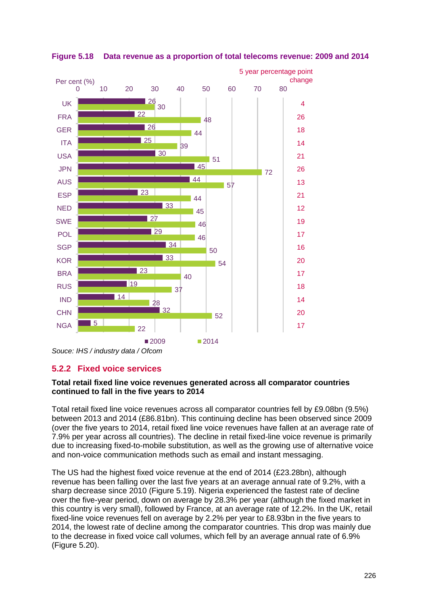

**Figure 5.18 Data revenue as a proportion of total telecoms revenue: 2009 and 2014**

## <span id="page-23-0"></span>**5.2.2 Fixed voice services**

#### **Total retail fixed line voice revenues generated across all comparator countries continued to fall in the five years to 2014**

Total retail fixed line voice revenues across all comparator countries fell by £9.08bn (9.5%) between 2013 and 2014 (£86.81bn). This continuing decline has been observed since 2009 (over the five years to 2014, retail fixed line voice revenues have fallen at an average rate of 7.9% per year across all countries). The decline in retail fixed-line voice revenue is primarily due to increasing fixed-to-mobile substitution, as well as the growing use of alternative voice and non-voice communication methods such as email and instant messaging.

The US had the highest fixed voice revenue at the end of 2014 (£23.28bn), although revenue has been falling over the last five years at an average annual rate of 9.2%, with a sharp decrease since 2010 [\(Figure 5.19\)](#page-24-0). Nigeria experienced the fastest rate of decline over the five-year period, down on average by 28.3% per year (although the fixed market in this country is very small), followed by France, at an average rate of 12.2%. In the UK, retail fixed-line voice revenues fell on average by 2.2% per year to £8.93bn in the five years to 2014, the lowest rate of decline among the comparator countries. This drop was mainly due to the decrease in fixed voice call volumes, which fell by an average annual rate of 6.9% [\(Figure 5.20\)](#page-25-0).

*Souce: IHS / industry data / Ofcom*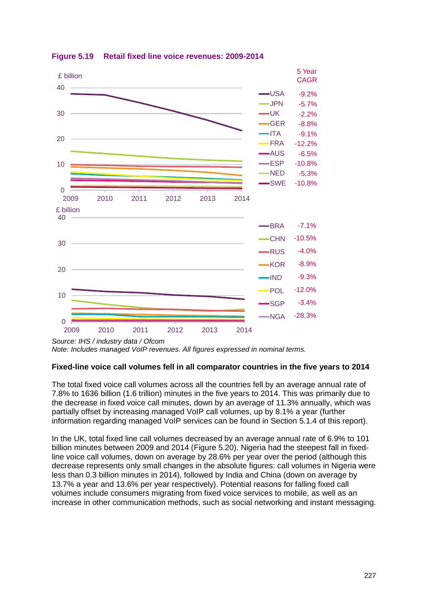

<span id="page-24-0"></span>**Figure 5.19 Retail fixed line voice revenues: 2009-2014**

*Source: IHS / industry data / Ofcom Note: Includes managed VoIP revenues. All figures expressed in nominal terms.*

#### **Fixed-line voice call volumes fell in all comparator countries in the five years to 2014**

The total fixed voice call volumes across all the countries fell by an average annual rate of 7.8% to 1636 billion (1.6 trillion) minutes in the five years to 2014. This was primarily due to the decrease in fixed voice call minutes, down by an average of 11.3% annually, which was partially offset by increasing managed VoIP call volumes, up by 8.1% a year (further information regarding managed VoIP services can be found in Section [5.1.4](#page-10-0) of this report).

In the UK, total fixed line call volumes decreased by an average annual rate of 6.9% to 101 billion minutes between 2009 and 2014 [\(Figure 5.20\)](#page-25-0). Nigeria had the steepest fall in fixedline voice call volumes, down on average by 28.6% per year over the period (although this decrease represents only small changes in the absolute figures: call volumes in Nigeria were less than 0.3 billion minutes in 2014), followed by India and China (down on average by 13.7% a year and 13.6% per year respectively). Potential reasons for falling fixed call volumes include consumers migrating from fixed voice services to mobile, as well as an increase in other communication methods, such as social networking and instant messaging.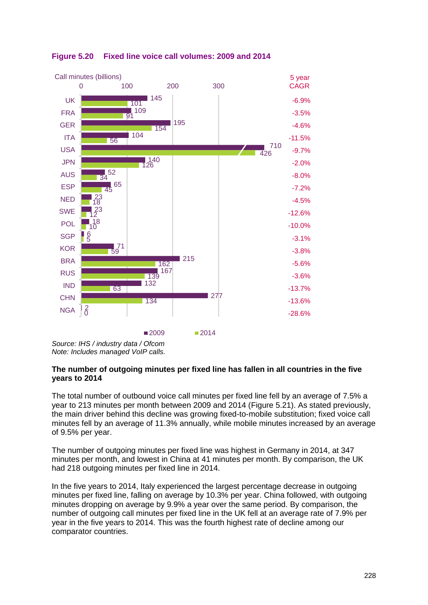

<span id="page-25-0"></span>

*Source: IHS / industry data / Ofcom Note: Includes managed VoIP calls.*

#### **The number of outgoing minutes per fixed line has fallen in all countries in the five years to 2014**

The total number of outbound voice call minutes per fixed line fell by an average of 7.5% a year to 213 minutes per month between 2009 and 2014 [\(Figure 5.21\)](#page-26-0). As stated previously, the main driver behind this decline was growing fixed-to-mobile substitution; fixed voice call minutes fell by an average of 11.3% annually, while mobile minutes increased by an average of 9.5% per year.

The number of outgoing minutes per fixed line was highest in Germany in 2014, at 347 minutes per month, and lowest in China at 41 minutes per month. By comparison, the UK had 218 outgoing minutes per fixed line in 2014.

In the five years to 2014, Italy experienced the largest percentage decrease in outgoing minutes per fixed line, falling on average by 10.3% per year. China followed, with outgoing minutes dropping on average by 9.9% a year over the same period. By comparison, the number of outgoing call minutes per fixed line in the UK fell at an average rate of 7.9% per year in the five years to 2014. This was the fourth highest rate of decline among our comparator countries.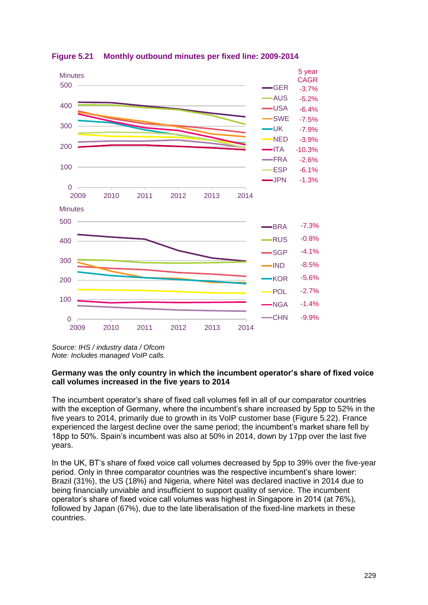

<span id="page-26-0"></span>**Figure 5.21 Monthly outbound minutes per fixed line: 2009-2014**

*Source: IHS / industry data / Ofcom Note: Includes managed VoIP calls.*

#### **Germany was the only country in which the incumbent operator's share of fixed voice call volumes increased in the five years to 2014**

The incumbent operator's share of fixed call volumes fell in all of our comparator countries with the exception of Germany, where the incumbent's share increased by 5pp to 52% in the five years to 2014, primarily due to growth in its VoIP customer base [\(Figure 5.22\)](#page-27-0). France experienced the largest decline over the same period; the incumbent's market share fell by 18pp to 50%. Spain's incumbent was also at 50% in 2014, down by 17pp over the last five years.

In the UK, BT's share of fixed voice call volumes decreased by 5pp to 39% over the five-year period. Only in three comparator countries was the respective incumbent's share lower: Brazil (31%), the US (18%) and Nigeria, where Nitel was declared inactive in 2014 due to being financially unviable and insufficient to support quality of service. The incumbent operator's share of fixed voice call volumes was highest in Singapore in 2014 (at 76%), followed by Japan (67%), due to the late liberalisation of the fixed-line markets in these countries.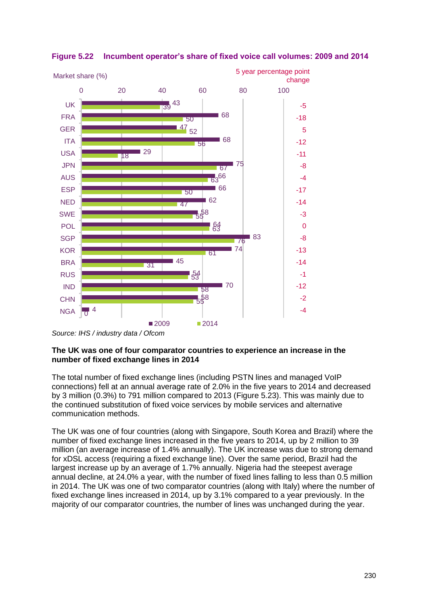

## <span id="page-27-0"></span>**Figure 5.22 Incumbent operator's share of fixed voice call volumes: 2009 and 2014**

#### **The UK was one of four comparator countries to experience an increase in the number of fixed exchange lines in 2014**

The total number of fixed exchange lines (including PSTN lines and managed VoIP connections) fell at an annual average rate of 2.0% in the five years to 2014 and decreased by 3 million (0.3%) to 791 million compared to 2013 [\(Figure 5.23\)](#page-28-1). This was mainly due to the continued substitution of fixed voice services by mobile services and alternative communication methods.

The UK was one of four countries (along with Singapore, South Korea and Brazil) where the number of fixed exchange lines increased in the five years to 2014, up by 2 million to 39 million (an average increase of 1.4% annually). The UK increase was due to strong demand for xDSL access (requiring a fixed exchange line). Over the same period, Brazil had the largest increase up by an average of 1.7% annually. Nigeria had the steepest average annual decline, at 24.0% a year, with the number of fixed lines falling to less than 0.5 million in 2014. The UK was one of two comparator countries (along with Italy) where the number of fixed exchange lines increased in 2014, up by 3.1% compared to a year previously. In the majority of our comparator countries, the number of lines was unchanged during the year.

*Source: IHS / industry data / Ofcom*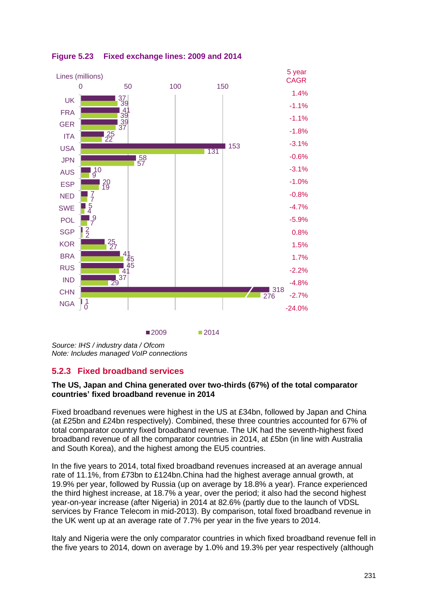

<span id="page-28-1"></span>

## <span id="page-28-0"></span>**5.2.3 Fixed broadband services**

#### **The US, Japan and China generated over two-thirds (67%) of the total comparator countries' fixed broadband revenue in 2014**

Fixed broadband revenues were highest in the US at £34bn, followed by Japan and China (at £25bn and £24bn respectively). Combined, these three countries accounted for 67% of total comparator country fixed broadband revenue. The UK had the seventh-highest fixed broadband revenue of all the comparator countries in 2014, at £5bn (in line with Australia and South Korea), and the highest among the EU5 countries.

In the five years to 2014, total fixed broadband revenues increased at an average annual rate of 11.1%, from £73bn to £124bn.China had the highest average annual growth, at 19.9% per year, followed by Russia (up on average by 18.8% a year). France experienced the third highest increase, at 18.7% a year, over the period; it also had the second highest year-on-year increase (after Nigeria) in 2014 at 82.6% (partly due to the launch of VDSL services by France Telecom in mid-2013). By comparison, total fixed broadband revenue in the UK went up at an average rate of 7.7% per year in the five years to 2014.

Italy and Nigeria were the only comparator countries in which fixed broadband revenue fell in the five years to 2014, down on average by 1.0% and 19.3% per year respectively (although

*Source: IHS / industry data / Ofcom Note: Includes managed VoIP connections*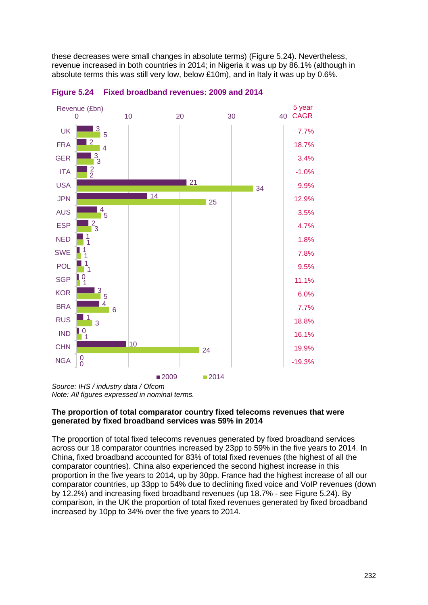these decreases were small changes in absolute terms) [\(Figure 5.24\)](#page-29-0). Nevertheless, revenue increased in both countries in 2014; in Nigeria it was up by 86.1% (although in absolute terms this was still very low, below £10m), and in Italy it was up by 0.6%.



<span id="page-29-0"></span>**Figure 5.24 Fixed broadband revenues: 2009 and 2014**

*Source: IHS / industry data / Ofcom Note: All figures expressed in nominal terms.*

#### **The proportion of total comparator country fixed telecoms revenues that were generated by fixed broadband services was 59% in 2014**

The proportion of total fixed telecoms revenues generated by fixed broadband services across our 18 comparator countries increased by 23pp to 59% in the five years to 2014. In China, fixed broadband accounted for 83% of total fixed revenues (the highest of all the comparator countries). China also experienced the second highest increase in this proportion in the five years to 2014, up by 30pp. France had the highest increase of all our comparator countries, up 33pp to 54% due to declining fixed voice and VoIP revenues (down by 12.2%) and increasing fixed broadband revenues (up 18.7% - see [Figure 5.24\)](#page-29-0). By comparison, in the UK the proportion of total fixed revenues generated by fixed broadband increased by 10pp to 34% over the five years to 2014.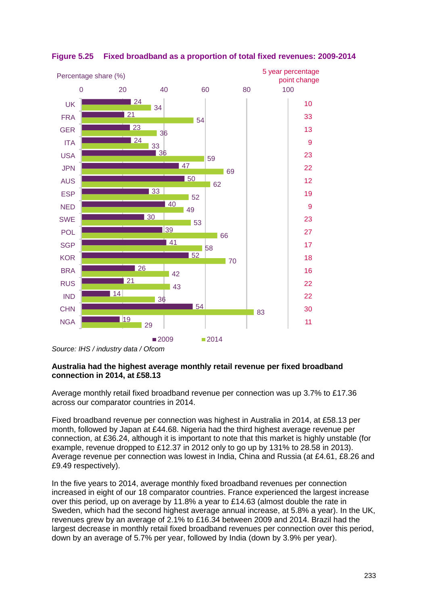

## **Figure 5.25 Fixed broadband as a proportion of total fixed revenues: 2009-2014**

#### **Australia had the highest average monthly retail revenue per fixed broadband connection in 2014, at £58.13**

Average monthly retail fixed broadband revenue per connection was up 3.7% to £17.36 across our comparator countries in 2014.

Fixed broadband revenue per connection was highest in Australia in 2014, at £58.13 per month, followed by Japan at £44.68. Nigeria had the third highest average revenue per connection, at £36.24, although it is important to note that this market is highly unstable (for example, revenue dropped to £12.37 in 2012 only to go up by 131% to 28.58 in 2013). Average revenue per connection was lowest in India, China and Russia (at £4.61, £8.26 and £9.49 respectively).

In the five years to 2014, average monthly fixed broadband revenues per connection increased in eight of our 18 comparator countries. France experienced the largest increase over this period, up on average by 11.8% a year to £14.63 (almost double the rate in Sweden, which had the second highest average annual increase, at 5.8% a year). In the UK, revenues grew by an average of 2.1% to £16.34 between 2009 and 2014. Brazil had the largest decrease in monthly retail fixed broadband revenues per connection over this period, down by an average of 5.7% per year, followed by India (down by 3.9% per year).

*Source: IHS / industry data / Ofcom*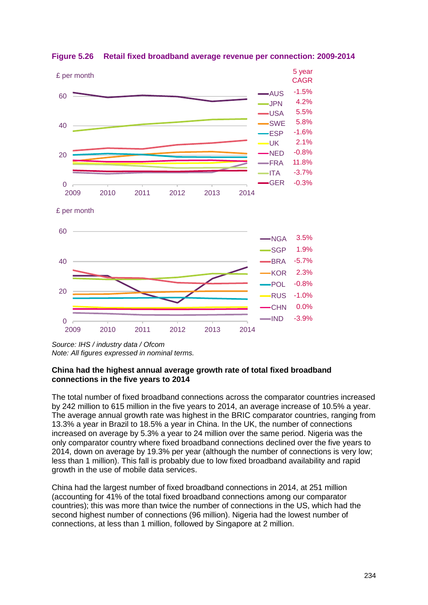

**Figure 5.26 Retail fixed broadband average revenue per connection: 2009-2014**

#### **China had the highest annual average growth rate of total fixed broadband connections in the five years to 2014**

The total number of fixed broadband connections across the comparator countries increased by 242 million to 615 million in the five years to 2014, an average increase of 10.5% a year. The average annual growth rate was highest in the BRIC comparator countries, ranging from 13.3% a year in Brazil to 18.5% a year in China. In the UK, the number of connections increased on average by 5.3% a year to 24 million over the same period. Nigeria was the only comparator country where fixed broadband connections declined over the five years to 2014, down on average by 19.3% per year (although the number of connections is very low; less than 1 million). This fall is probably due to low fixed broadband availability and rapid growth in the use of mobile data services.

China had the largest number of fixed broadband connections in 2014, at 251 million (accounting for 41% of the total fixed broadband connections among our comparator countries); this was more than twice the number of connections in the US, which had the second highest number of connections (96 million). Nigeria had the lowest number of connections, at less than 1 million, followed by Singapore at 2 million.

*Source: IHS / industry data / Ofcom Note: All figures expressed in nominal terms.*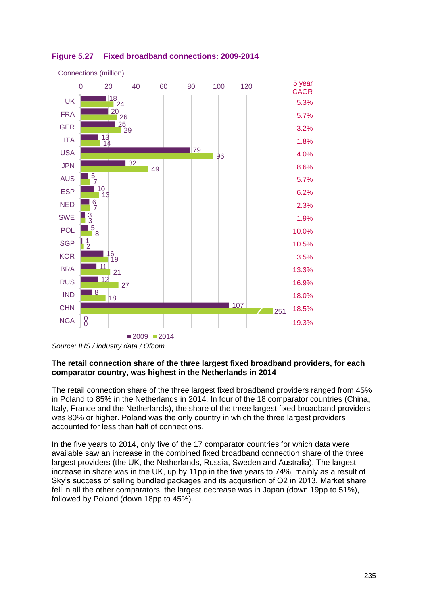

<span id="page-32-0"></span>

#### **The retail connection share of the three largest fixed broadband providers, for each comparator country, was highest in the Netherlands in 2014**

The retail connection share of the three largest fixed broadband providers ranged from 45% in Poland to 85% in the Netherlands in 2014. In four of the 18 comparator countries (China, Italy, France and the Netherlands), the share of the three largest fixed broadband providers was 80% or higher. Poland was the only country in which the three largest providers accounted for less than half of connections.

In the five years to 2014, only five of the 17 comparator countries for which data were available saw an increase in the combined fixed broadband connection share of the three largest providers (the UK, the Netherlands, Russia, Sweden and Australia). The largest increase in share was in the UK, up by 11pp in the five years to 74%, mainly as a result of Sky's success of selling bundled packages and its acquisition of O2 in 2013. Market share fell in all the other comparators; the largest decrease was in Japan (down 19pp to 51%), followed by Poland (down 18pp to 45%).

*Source: IHS / industry data / Ofcom*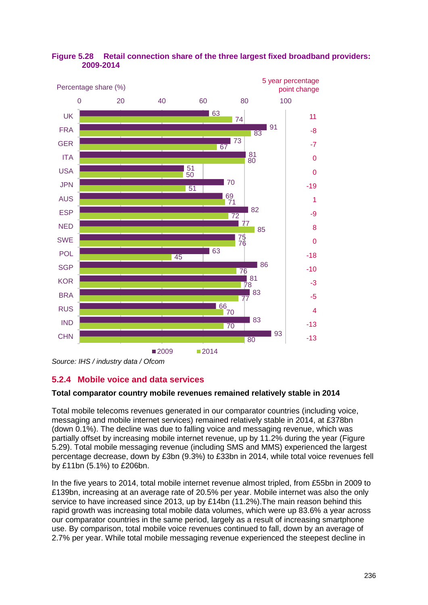

## **Figure 5.28 Retail connection share of the three largest fixed broadband providers: 2009-2014**

*Source: IHS / industry data / Ofcom*

## <span id="page-33-0"></span>**5.2.4 Mobile voice and data services**

## **Total comparator country mobile revenues remained relatively stable in 2014**

Total mobile telecoms revenues generated in our comparator countries (including voice, messaging and mobile internet services) remained relatively stable in 2014, at £378bn (down 0.1%). The decline was due to falling voice and messaging revenue, which was partially offset by increasing mobile internet revenue, up by 11.2% during the year [\(Figure](#page-34-0)  [5.29\)](#page-34-0). Total mobile messaging revenue (including SMS and MMS) experienced the largest percentage decrease, down by £3bn (9.3%) to £33bn in 2014, while total voice revenues fell by £11bn (5.1%) to £206bn.

In the five years to 2014, total mobile internet revenue almost tripled, from £55bn in 2009 to £139bn, increasing at an average rate of 20.5% per year. Mobile internet was also the only service to have increased since 2013, up by £14bn (11.2%).The main reason behind this rapid growth was increasing total mobile data volumes, which were up 83.6% a year across our comparator countries in the same period, largely as a result of increasing smartphone use. By comparison, total mobile voice revenues continued to fall, down by an average of 2.7% per year. While total mobile messaging revenue experienced the steepest decline in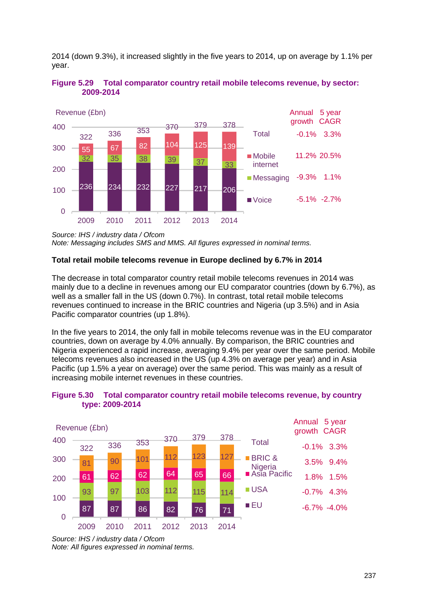2014 (down 9.3%), it increased slightly in the five years to 2014, up on average by 1.1% per year.



<span id="page-34-0"></span>**Figure 5.29 Total comparator country retail mobile telecoms revenue, by sector: 2009-2014**

*Note: Messaging includes SMS and MMS. All figures expressed in nominal terms.*

#### **Total retail mobile telecoms revenue in Europe declined by 6.7% in 2014**

The decrease in total comparator country retail mobile telecoms revenues in 2014 was mainly due to a decline in revenues among our EU comparator countries (down by 6.7%), as well as a smaller fall in the US (down 0.7%). In contrast, total retail mobile telecoms revenues continued to increase in the BRIC countries and Nigeria (up 3.5%) and in Asia Pacific comparator countries (up 1.8%).

In the five years to 2014, the only fall in mobile telecoms revenue was in the EU comparator countries, down on average by 4.0% annually. By comparison, the BRIC countries and Nigeria experienced a rapid increase, averaging 9.4% per year over the same period. Mobile telecoms revenues also increased in the US (up 4.3% on average per year) and in Asia Pacific (up 1.5% a year on average) over the same period. This was mainly as a result of increasing mobile internet revenues in these countries.



#### **Figure 5.30 Total comparator country retail mobile telecoms revenue, by country type: 2009-2014**

*Source: IHS / industry data / Ofcom*

*Source: IHS / industry data / Ofcom Note: All figures expressed in nominal terms.*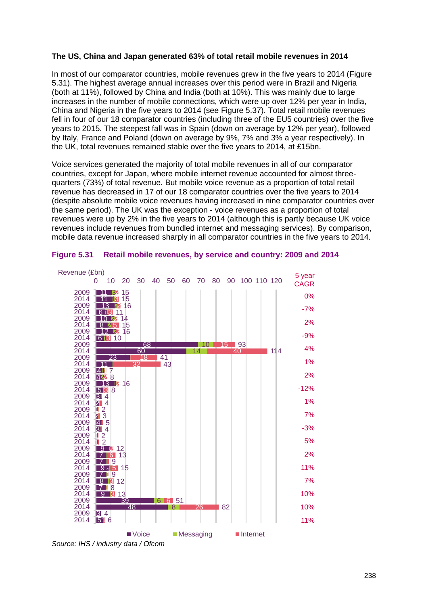#### **The US, China and Japan generated 63% of total retail mobile revenues in 2014**

In most of our comparator countries, mobile revenues grew in the five years to 2014 [\(Figure](#page-35-0)  [5.31\)](#page-35-0). The highest average annual increases over this period were in Brazil and Nigeria (both at 11%), followed by China and India (both at 10%). This was mainly due to large increases in the number of mobile connections, which were up over 12% per year in India, China and Nigeria in the five years to 2014 (see [Figure 5.37\)](#page-41-0). Total retail mobile revenues fell in four of our 18 comparator countries (including three of the EU5 countries) over the five years to 2015. The steepest fall was in Spain (down on average by 12% per year), followed by Italy, France and Poland (down on average by 9%, 7% and 3% a year respectively). In the UK, total revenues remained stable over the five years to 2014, at £15bn.

Voice services generated the majority of total mobile revenues in all of our comparator countries, except for Japan, where mobile internet revenue accounted for almost threequarters (73%) of total revenue. But mobile voice revenue as a proportion of total retail revenue has decreased in 17 of our 18 comparator countries over the five years to 2014 (despite absolute mobile voice revenues having increased in nine comparator countries over the same period). The UK was the exception - voice revenues as a proportion of total revenues were up by 2% in the five years to 2014 (although this is partly because UK voice revenues include revenues from bundled internet and messaging services). By comparison, mobile data revenue increased sharply in all comparator countries in the five years to 2014.



#### <span id="page-35-0"></span>**Figure 5.31 Retail mobile revenues, by service and country: 2009 and 2014**

*Source: IHS / industry data / Ofcom*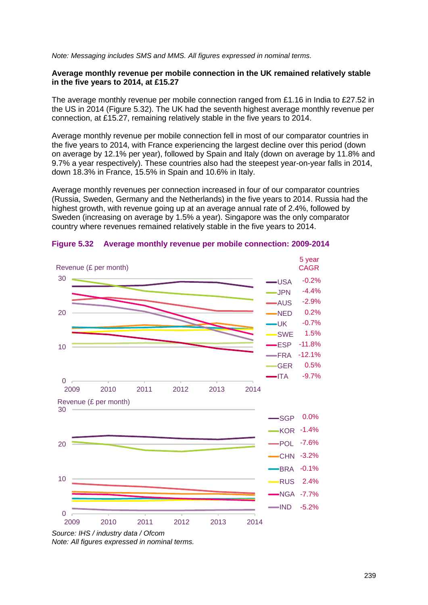*Note: Messaging includes SMS and MMS. All figures expressed in nominal terms.*

#### **Average monthly revenue per mobile connection in the UK remained relatively stable in the five years to 2014, at £15.27**

The average monthly revenue per mobile connection ranged from £1.16 in India to £27.52 in the US in 2014 [\(Figure 5.32\)](#page-36-0). The UK had the seventh highest average monthly revenue per connection, at £15.27, remaining relatively stable in the five years to 2014.

Average monthly revenue per mobile connection fell in most of our comparator countries in the five years to 2014, with France experiencing the largest decline over this period (down on average by 12.1% per year), followed by Spain and Italy (down on average by 11.8% and 9.7% a year respectively). These countries also had the steepest year-on-year falls in 2014, down 18.3% in France, 15.5% in Spain and 10.6% in Italy.

Average monthly revenues per connection increased in four of our comparator countries (Russia, Sweden, Germany and the Netherlands) in the five years to 2014. Russia had the highest growth, with revenue going up at an average annual rate of 2.4%, followed by Sweden (increasing on average by 1.5% a year). Singapore was the only comparator country where revenues remained relatively stable in the five years to 2014.



#### <span id="page-36-0"></span>**Figure 5.32 Average monthly revenue per mobile connection: 2009-2014**

*Source: IHS / industry data / Ofcom Note: All figures expressed in nominal terms.*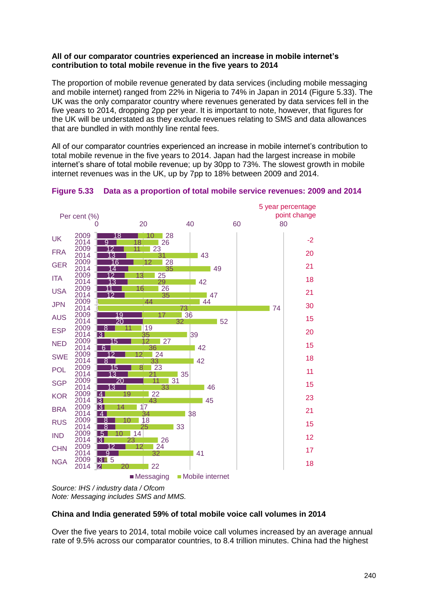#### **All of our comparator countries experienced an increase in mobile internet's contribution to total mobile revenue in the five years to 2014**

The proportion of mobile revenue generated by data services (including mobile messaging and mobile internet) ranged from 22% in Nigeria to 74% in Japan in 2014 [\(Figure 5.33\)](#page-37-0). The UK was the only comparator country where revenues generated by data services fell in the five years to 2014, dropping 2pp per year. It is important to note, however, that figures for the UK will be understated as they exclude revenues relating to SMS and data allowances that are bundled in with monthly line rental fees.

All of our comparator countries experienced an increase in mobile internet's contribution to total mobile revenue in the five years to 2014. Japan had the largest increase in mobile internet's share of total mobile revenue; up by 30pp to 73%. The slowest growth in mobile internet revenues was in the UK, up by 7pp to 18% between 2009 and 2014.



#### <span id="page-37-0"></span>**Figure 5.33 Data as a proportion of total mobile service revenues: 2009 and 2014**

*Source: IHS / industry data / Ofcom Note: Messaging includes SMS and MMS.*

#### **China and India generated 59% of total mobile voice call volumes in 2014**

Over the five years to 2014, total mobile voice call volumes increased by an average annual rate of 9.5% across our comparator countries, to 8.4 trillion minutes. China had the highest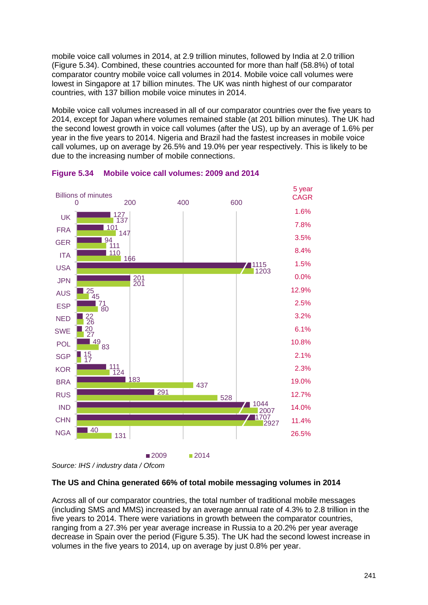mobile voice call volumes in 2014, at 2.9 trillion minutes, followed by India at 2.0 trillion [\(Figure 5.34\)](#page-38-0). Combined, these countries accounted for more than half (58.8%) of total comparator country mobile voice call volumes in 2014. Mobile voice call volumes were lowest in Singapore at 17 billion minutes. The UK was ninth highest of our comparator countries, with 137 billion mobile voice minutes in 2014.

Mobile voice call volumes increased in all of our comparator countries over the five years to 2014, except for Japan where volumes remained stable (at 201 billion minutes). The UK had the second lowest growth in voice call volumes (after the US), up by an average of 1.6% per year in the five years to 2014. Nigeria and Brazil had the fastest increases in mobile voice call volumes, up on average by 26.5% and 19.0% per year respectively. This is likely to be due to the increasing number of mobile connections.



#### <span id="page-38-0"></span>**Figure 5.34 Mobile voice call volumes: 2009 and 2014**

*Source: IHS / industry data / Ofcom*

#### **The US and China generated 66% of total mobile messaging volumes in 2014**

Across all of our comparator countries, the total number of traditional mobile messages (including SMS and MMS) increased by an average annual rate of 4.3% to 2.8 trillion in the five years to 2014. There were variations in growth between the comparator countries, ranging from a 27.3% per year average increase in Russia to a 20.2% per year average decrease in Spain over the period [\(Figure 5.35\)](#page-39-0). The UK had the second lowest increase in volumes in the five years to 2014, up on average by just 0.8% per year.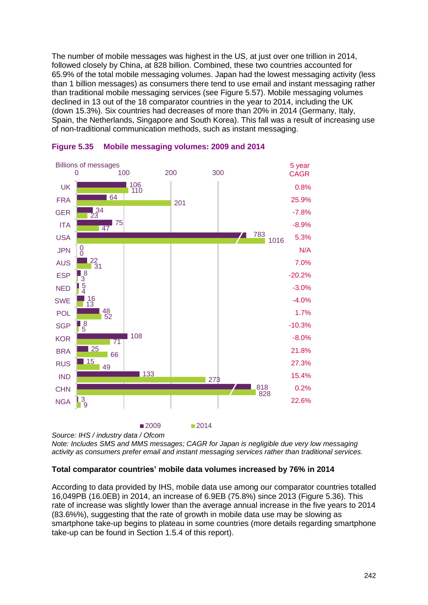The number of mobile messages was highest in the US, at just over one trillion in 2014, followed closely by China, at 828 billion. Combined, these two countries accounted for 65.9% of the total mobile messaging volumes. Japan had the lowest messaging activity (less than 1 billion messages) as consumers there tend to use email and instant messaging rather than traditional mobile messaging services (see [Figure 5.57\)](#page-62-0). Mobile messaging volumes declined in 13 out of the 18 comparator countries in the year to 2014, including the UK (down 15.3%). Six countries had decreases of more than 20% in 2014 (Germany, Italy, Spain, the Netherlands, Singapore and South Korea). This fall was a result of increasing use of non-traditional communication methods, such as instant messaging.



#### <span id="page-39-0"></span>**Figure 5.35 Mobile messaging volumes: 2009 and 2014**

*Source: IHS / industry data / Ofcom*

*Note: Includes SMS and MMS messages; CAGR for Japan is negligible due very low messaging activity as consumers prefer email and instant messaging services rather than traditional services.*

#### **Total comparator countries' mobile data volumes increased by 76% in 2014**

According to data provided by IHS, mobile data use among our comparator countries totalled 16,049PB (16.0EB) in 2014, an increase of 6.9EB (75.8%) since 2013 [\(Figure 5.36\)](#page-40-0). This rate of increase was slightly lower than the average annual increase in the five years to 2014 (83.6%%), suggesting that the rate of growth in mobile data use may be slowing as smartphone take-up begins to plateau in some countries (more details regarding smartphone take-up can be found in Section 1.5.4 of this report).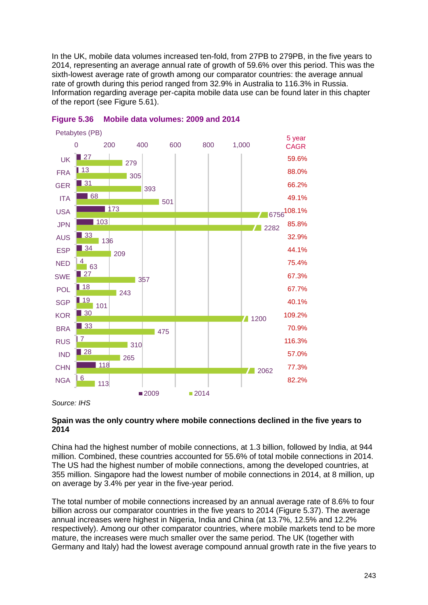In the UK, mobile data volumes increased ten-fold, from 27PB to 279PB, in the five years to 2014, representing an average annual rate of growth of 59.6% over this period. This was the sixth-lowest average rate of growth among our comparator countries: the average annual rate of growth during this period ranged from 32.9% in Australia to 116.3% in Russia. Information regarding average per-capita mobile data use can be found later in this chapter of the report (see [Figure 5.61\)](#page-66-0).



<span id="page-40-0"></span>

*Source: IHS*

#### **Spain was the only country where mobile connections declined in the five years to 2014**

China had the highest number of mobile connections, at 1.3 billion, followed by India, at 944 million. Combined, these countries accounted for 55.6% of total mobile connections in 2014. The US had the highest number of mobile connections, among the developed countries, at 355 million. Singapore had the lowest number of mobile connections in 2014, at 8 million, up on average by 3.4% per year in the five-year period.

The total number of mobile connections increased by an annual average rate of 8.6% to four billion across our comparator countries in the five years to 2014 [\(Figure 5.37\)](#page-41-0). The average annual increases were highest in Nigeria, India and China (at 13.7%, 12.5% and 12.2% respectively). Among our other comparator countries, where mobile markets tend to be more mature, the increases were much smaller over the same period. The UK (together with Germany and Italy) had the lowest average compound annual growth rate in the five years to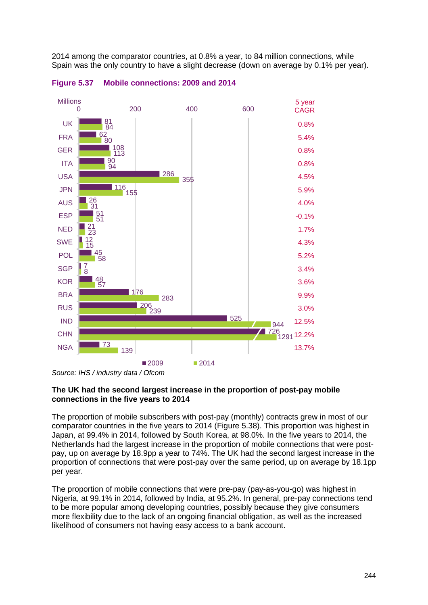2014 among the comparator countries, at 0.8% a year, to 84 million connections, while Spain was the only country to have a slight decrease (down on average by 0.1% per year).



<span id="page-41-0"></span>**Figure 5.37 Mobile connections: 2009 and 2014**

#### **The UK had the second largest increase in the proportion of post-pay mobile connections in the five years to 2014**

The proportion of mobile subscribers with post-pay (monthly) contracts grew in most of our comparator countries in the five years to 2014 [\(Figure 5.38\)](#page-42-0). This proportion was highest in Japan, at 99.4% in 2014, followed by South Korea, at 98.0%. In the five years to 2014, the Netherlands had the largest increase in the proportion of mobile connections that were postpay, up on average by 18.9pp a year to 74%. The UK had the second largest increase in the proportion of connections that were post-pay over the same period, up on average by 18.1pp per year.

The proportion of mobile connections that were pre-pay (pay-as-you-go) was highest in Nigeria, at 99.1% in 2014, followed by India, at 95.2%. In general, pre-pay connections tend to be more popular among developing countries, possibly because they give consumers more flexibility due to the lack of an ongoing financial obligation, as well as the increased likelihood of consumers not having easy access to a bank account.

*Source: IHS / industry data / Ofcom*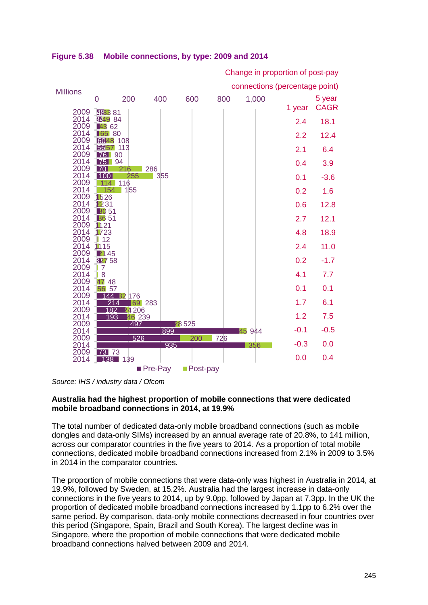| <b>Millions</b>       |                          | connections (percentage point) |        |              |     |        |        |             |  |  |  |  |
|-----------------------|--------------------------|--------------------------------|--------|--------------|-----|--------|--------|-------------|--|--|--|--|
|                       | 0                        | 200                            | 400    | 600          | 800 | 1,000  |        | 5 year      |  |  |  |  |
| 2009                  | 48381                    |                                |        |              |     |        | 1 year | <b>CAGR</b> |  |  |  |  |
| 2014<br>2009          | <b>3449 84</b><br>■43 62 |                                |        |              |     |        | 2.4    | 18.1        |  |  |  |  |
| 2014<br>2009          | 165 80<br>6048 108       |                                |        |              |     |        | 2.2    | 12.4        |  |  |  |  |
| 2014<br>2009          | 5657 113<br><b>76 90</b> |                                |        |              |     |        | 2.1    | 6.4         |  |  |  |  |
| 2014<br>2009          | <b>75 94</b><br>170      | 216                            | 286    |              |     |        | 0.4    | 3.9         |  |  |  |  |
| 2014<br>2009          | 100<br>114               | 255<br>116                     | 355    |              |     |        | 0.1    | $-3.6$      |  |  |  |  |
| 2014<br>2009          | 1526                     | 154 155                        |        |              |     |        | 0.2    | 1.6         |  |  |  |  |
| 2014<br>2009          | 2231<br><b>BO</b> 51     |                                |        |              |     |        | 0.6    | 12.8        |  |  |  |  |
| 2014<br>2009          | <b>B6 51</b><br>1121     |                                |        |              |     |        | 2.7    | 12.1        |  |  |  |  |
| 2014<br>2009          | 1723<br>12               |                                |        |              |     |        | 4.8    | 18.9        |  |  |  |  |
| 2014<br>2009          | 1115<br>■ 145            |                                |        |              |     |        | 2.4    | 11.0        |  |  |  |  |
| 2014<br>2009          | 82758<br>$\overline{7}$  |                                |        |              |     |        | 0.2    | $-1.7$      |  |  |  |  |
| 2014<br>2009          | l 8<br>47 48             |                                |        |              |     |        | 4.1    | 7.7         |  |  |  |  |
| 2014<br>2009          | 56 57<br>144             |                                |        |              |     |        | 0.1    | 0.1         |  |  |  |  |
| 2014                  | 214<br>182               | <b>B2</b> 176<br><b>24206</b>  | 69 283 |              |     |        | 1.7    | 6.1         |  |  |  |  |
| 2009<br>2014          | 193                      | 46 239                         |        |              |     |        | 1.2    | 7.5         |  |  |  |  |
| 2009<br>2014          |                          | 497                            | 899    | <b>28525</b> |     | 45 944 | $-0.1$ | $-0.5$      |  |  |  |  |
| 2009<br>2014          |                          | 526                            | 935    | 200          | 726 | 356    | $-0.3$ | 0.0         |  |  |  |  |
| 2009<br>2014          | 73 73                    | 138 139                        |        |              |     |        | 0.0    | 0.4         |  |  |  |  |
| ■ Post-pay<br>Pre-Pay |                          |                                |        |              |     |        |        |             |  |  |  |  |

Change in proportion of post-pay

<span id="page-42-0"></span>**Figure 5.38 Mobile connections, by type: 2009 and 2014**

*Source: IHS / industry data / Ofcom*

#### **Australia had the highest proportion of mobile connections that were dedicated mobile broadband connections in 2014, at 19.9%**

The total number of dedicated data-only mobile broadband connections (such as mobile dongles and data-only SIMs) increased by an annual average rate of 20.8%, to 141 million, across our comparator countries in the five years to 2014. As a proportion of total mobile connections, dedicated mobile broadband connections increased from 2.1% in 2009 to 3.5% in 2014 in the comparator countries.

The proportion of mobile connections that were data-only was highest in Australia in 2014, at 19.9%, followed by Sweden, at 15.2%. Australia had the largest increase in data-only connections in the five years to 2014, up by 9.0pp, followed by Japan at 7.3pp. In the UK the proportion of dedicated mobile broadband connections increased by 1.1pp to 6.2% over the same period. By comparison, data-only mobile connections decreased in four countries over this period (Singapore, Spain, Brazil and South Korea). The largest decline was in Singapore, where the proportion of mobile connections that were dedicated mobile broadband connections halved between 2009 and 2014.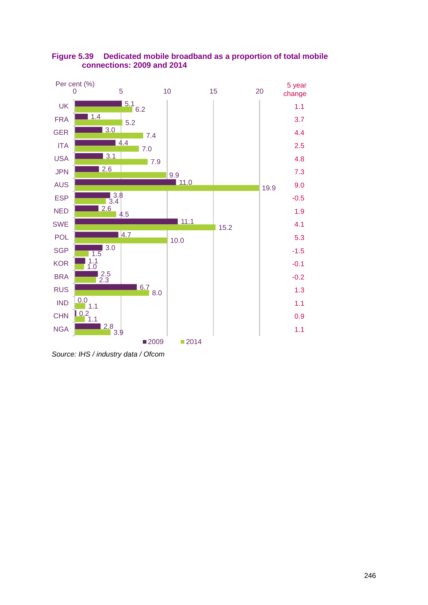

## **Figure 5.39 Dedicated mobile broadband as a proportion of total mobile connections: 2009 and 2014**

*Source: IHS / industry data / Ofcom*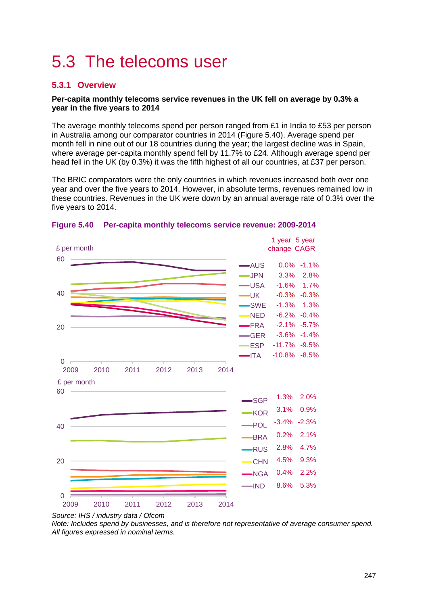# <span id="page-44-0"></span>5.3 The telecoms user

## <span id="page-44-1"></span>**5.3.1 Overview**

#### **Per-capita monthly telecoms service revenues in the UK fell on average by 0.3% a year in the five years to 2014**

The average monthly telecoms spend per person ranged from £1 in India to £53 per person in Australia among our comparator countries in 2014 [\(Figure 5.40\)](#page-44-2). Average spend per month fell in nine out of our 18 countries during the year; the largest decline was in Spain, where average per-capita monthly spend fell by 11.7% to £24. Although average spend per head fell in the UK (by 0.3%) it was the fifth highest of all our countries, at £37 per person.

The BRIC comparators were the only countries in which revenues increased both over one year and over the five years to 2014. However, in absolute terms, revenues remained low in these countries. Revenues in the UK were down by an annual average rate of 0.3% over the five years to 2014.



#### <span id="page-44-2"></span>**Figure 5.40 Per-capita monthly telecoms service revenue: 2009-2014**

*Note: Includes spend by businesses, and is therefore not representative of average consumer spend. All figures expressed in nominal terms.*

*Source: IHS / industry data / Ofcom*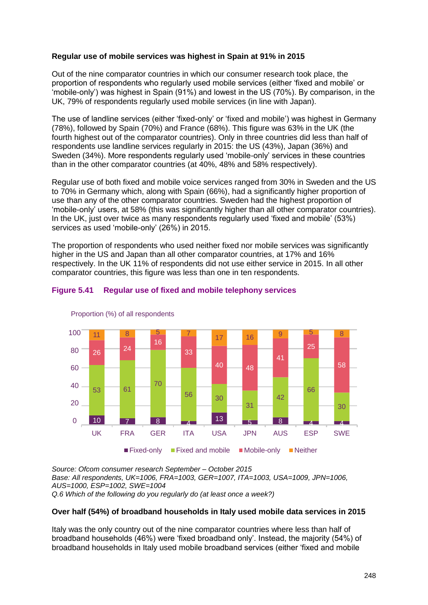#### **Regular use of mobile services was highest in Spain at 91% in 2015**

Out of the nine comparator countries in which our consumer research took place, the proportion of respondents who regularly used mobile services (either 'fixed and mobile' or 'mobile-only') was highest in Spain (91%) and lowest in the US (70%). By comparison, in the UK, 79% of respondents regularly used mobile services (in line with Japan).

The use of landline services (either 'fixed-only' or 'fixed and mobile') was highest in Germany (78%), followed by Spain (70%) and France (68%). This figure was 63% in the UK (the fourth highest out of the comparator countries). Only in three countries did less than half of respondents use landline services regularly in 2015: the US (43%), Japan (36%) and Sweden (34%). More respondents regularly used 'mobile-only' services in these countries than in the other comparator countries (at 40%, 48% and 58% respectively).

Regular use of both fixed and mobile voice services ranged from 30% in Sweden and the US to 70% in Germany which, along with Spain (66%), had a significantly higher proportion of use than any of the other comparator countries. Sweden had the highest proportion of 'mobile-only' users, at 58% (this was significantly higher than all other comparator countries). In the UK, just over twice as many respondents regularly used 'fixed and mobile' (53%) services as used 'mobile-only' (26%) in 2015.

The proportion of respondents who used neither fixed nor mobile services was significantly higher in the US and Japan than all other comparator countries, at 17% and 16% respectively. In the UK 11% of respondents did not use either service in 2015. In all other comparator countries, this figure was less than one in ten respondents.



#### **Figure 5.41 Regular use of fixed and mobile telephony services**

*Source: Ofcom consumer research September – October 2015 Base: All respondents, UK=1006, FRA=1003, GER=1007, ITA=1003, USA=1009, JPN=1006, AUS=1000, ESP=1002, SWE=1004 Q.6 Which of the following do you regularly do (at least once a week?)*

#### **Over half (54%) of broadband households in Italy used mobile data services in 2015**

Italy was the only country out of the nine comparator countries where less than half of broadband households (46%) were 'fixed broadband only'. Instead, the majority (54%) of broadband households in Italy used mobile broadband services (either 'fixed and mobile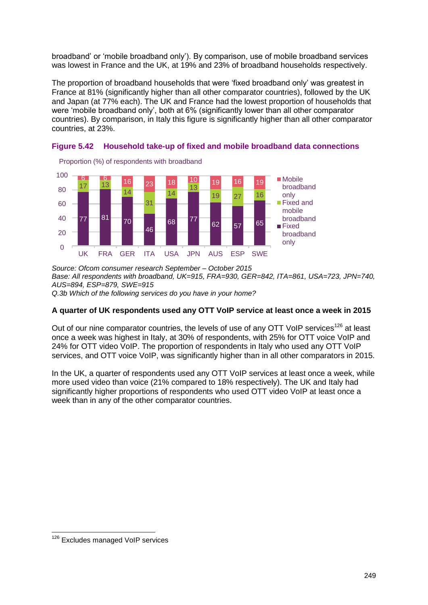broadband' or 'mobile broadband only'). By comparison, use of mobile broadband services was lowest in France and the UK, at 19% and 23% of broadband households respectively.

The proportion of broadband households that were 'fixed broadband only' was greatest in France at 81% (significantly higher than all other comparator countries), followed by the UK and Japan (at 77% each). The UK and France had the lowest proportion of households that were 'mobile broadband only', both at 6% (significantly lower than all other comparator countries). By comparison, in Italy this figure is significantly higher than all other comparator countries, at 23%.



<span id="page-46-0"></span>

*Source: Ofcom consumer research September – October 2015 Base: All respondents with broadband, UK=915, FRA=930, GER=842, ITA=861, USA=723, JPN=740, AUS=894, ESP=879, SWE=915 Q.3b Which of the following services do you have in your home?*

#### **A quarter of UK respondents used any OTT VoIP service at least once a week in 2015**

Out of our nine comparator countries, the levels of use of any OTT VoIP services<sup>126</sup> at least once a week was highest in Italy, at 30% of respondents, with 25% for OTT voice VoIP and 24% for OTT video VoIP. The proportion of respondents in Italy who used any OTT VoIP services, and OTT voice VoIP, was significantly higher than in all other comparators in 2015.

In the UK, a quarter of respondents used any OTT VoIP services at least once a week, while more used video than voice (21% compared to 18% respectively). The UK and Italy had significantly higher proportions of respondents who used OTT video VoIP at least once a week than in any of the other comparator countries.

-

<sup>&</sup>lt;sup>126</sup> Excludes managed VoIP services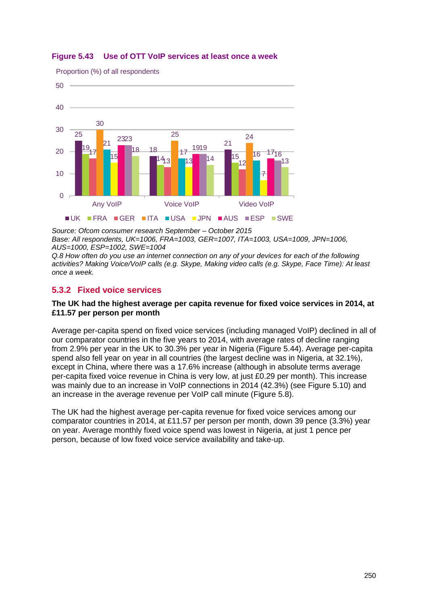

#### **Figure 5.43 Use of OTT VoIP services at least once a week**

*Source: Ofcom consumer research September – October 2015 Base: All respondents, UK=1006, FRA=1003, GER=1007, ITA=1003, USA=1009, JPN=1006, AUS=1000, ESP=1002, SWE=1004*

*Q.8 How often do you use an internet connection on any of your devices for each of the following activities? Making Voice/VoIP calls (e.g. Skype, Making video calls (e.g. Skype, Face Time): At least once a week.*

## <span id="page-47-0"></span>**5.3.2 Fixed voice services**

#### **The UK had the highest average per capita revenue for fixed voice services in 2014, at £11.57 per person per month**

Average per-capita spend on fixed voice services (including managed VoIP) declined in all of our comparator countries in the five years to 2014, with average rates of decline ranging from 2.9% per year in the UK to 30.3% per year in Nigeria [\(Figure 5.44\)](#page-48-0). Average per-capita spend also fell year on year in all countries (the largest decline was in Nigeria, at 32.1%), except in China, where there was a 17.6% increase (although in absolute terms average per-capita fixed voice revenue in China is very low, at just £0.29 per month). This increase was mainly due to an increase in VoIP connections in 2014 (42.3%) (see [Figure 5.10\)](#page-15-0) and an increase in the average revenue per VoIP call minute [\(Figure 5.8\)](#page-13-0).

The UK had the highest average per-capita revenue for fixed voice services among our comparator countries in 2014, at £11.57 per person per month, down 39 pence (3.3%) year on year. Average monthly fixed voice spend was lowest in Nigeria, at just 1 pence per person, because of low fixed voice service availability and take-up.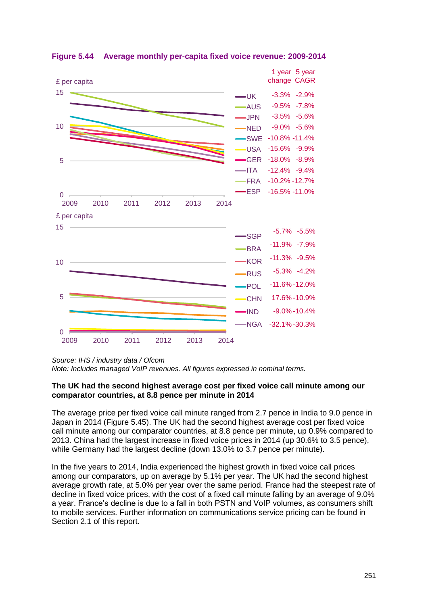

<span id="page-48-0"></span>**Figure 5.44 Average monthly per-capita fixed voice revenue: 2009-2014**

*Source: IHS / industry data / Ofcom*

*Note: Includes managed VoIP revenues. All figures expressed in nominal terms.*

#### **The UK had the second highest average cost per fixed voice call minute among our comparator countries, at 8.8 pence per minute in 2014**

The average price per fixed voice call minute ranged from 2.7 pence in India to 9.0 pence in Japan in 2014 [\(Figure 5.45\)](#page-49-0). The UK had the second highest average cost per fixed voice call minute among our comparator countries, at 8.8 pence per minute, up 0.9% compared to 2013. China had the largest increase in fixed voice prices in 2014 (up 30.6% to 3.5 pence), while Germany had the largest decline (down 13.0% to 3.7 pence per minute).

In the five years to 2014, India experienced the highest growth in fixed voice call prices among our comparators, up on average by 5.1% per year. The UK had the second highest average growth rate, at 5.0% per year over the same period. France had the steepest rate of decline in fixed voice prices, with the cost of a fixed call minute falling by an average of 9.0% a year. France's decline is due to a fall in both PSTN and VoIP volumes, as consumers shift to mobile services. Further information on communications service pricing can be found in Section 2.1 of this report.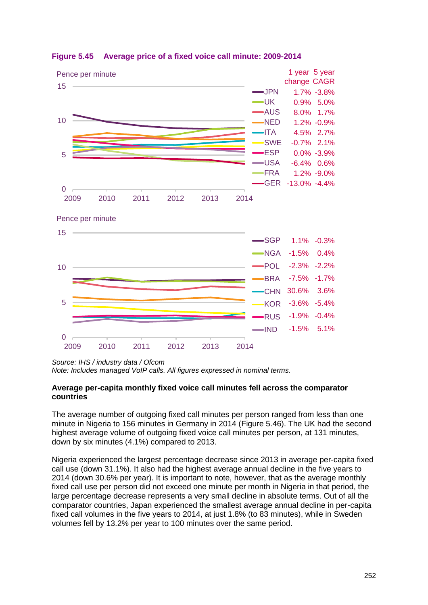

#### <span id="page-49-0"></span>**Figure 5.45 Average price of a fixed voice call minute: 2009-2014**

*Source: IHS / industry data / Ofcom*

*Note: Includes managed VoIP calls. All figures expressed in nominal terms.*

#### **Average per-capita monthly fixed voice call minutes fell across the comparator countries**

The average number of outgoing fixed call minutes per person ranged from less than one minute in Nigeria to 156 minutes in Germany in 2014 [\(Figure 5.46\)](#page-50-0). The UK had the second highest average volume of outgoing fixed voice call minutes per person, at 131 minutes, down by six minutes (4.1%) compared to 2013.

Nigeria experienced the largest percentage decrease since 2013 in average per-capita fixed call use (down 31.1%). It also had the highest average annual decline in the five years to 2014 (down 30.6% per year). It is important to note, however, that as the average monthly fixed call use per person did not exceed one minute per month in Nigeria in that period, the large percentage decrease represents a very small decline in absolute terms. Out of all the comparator countries, Japan experienced the smallest average annual decline in per-capita fixed call volumes in the five years to 2014, at just 1.8% (to 83 minutes), while in Sweden volumes fell by 13.2% per year to 100 minutes over the same period.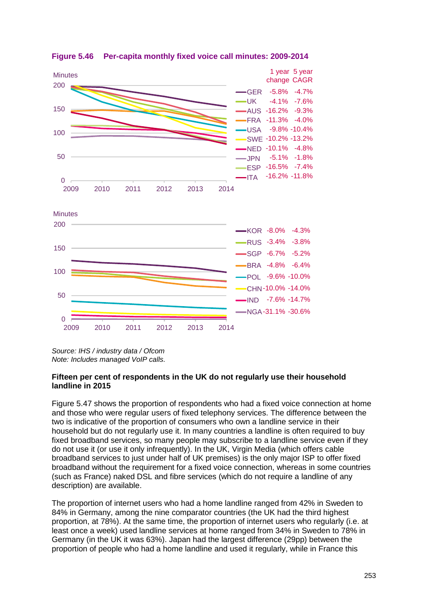

<span id="page-50-0"></span>**Figure 5.46 Per-capita monthly fixed voice call minutes: 2009-2014**

*Source: IHS / industry data / Ofcom Note: Includes managed VoIP calls.*

#### **Fifteen per cent of respondents in the UK do not regularly use their household landline in 2015**

[Figure 5.47](#page-51-0) shows the proportion of respondents who had a fixed voice connection at home and those who were regular users of fixed telephony services. The difference between the two is indicative of the proportion of consumers who own a landline service in their household but do not regularly use it. In many countries a landline is often required to buy fixed broadband services, so many people may subscribe to a landline service even if they do not use it (or use it only infrequently). In the UK, Virgin Media (which offers cable broadband services to just under half of UK premises) is the only major ISP to offer fixed broadband without the requirement for a fixed voice connection, whereas in some countries (such as France) naked DSL and fibre services (which do not require a landline of any description) are available.

The proportion of internet users who had a home landline ranged from 42% in Sweden to 84% in Germany, among the nine comparator countries (the UK had the third highest proportion, at 78%). At the same time, the proportion of internet users who regularly (i.e. at least once a week) used landline services at home ranged from 34% in Sweden to 78% in Germany (in the UK it was 63%). Japan had the largest difference (29pp) between the proportion of people who had a home landline and used it regularly, while in France this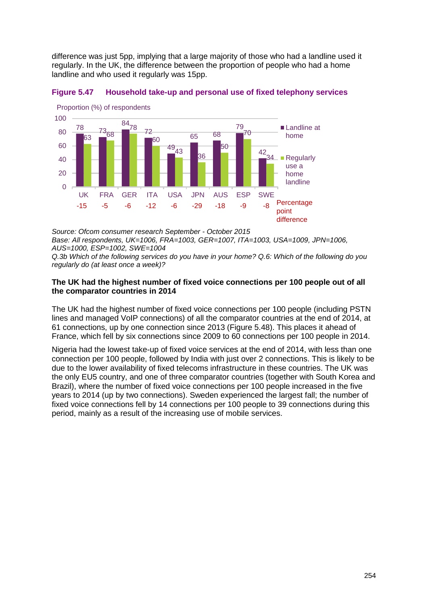difference was just 5pp, implying that a large majority of those who had a landline used it regularly. In the UK, the difference between the proportion of people who had a home landline and who used it regularly was 15pp.

<span id="page-51-0"></span>



*Source: Ofcom consumer research September - October 2015 Base: All respondents, UK=1006, FRA=1003, GER=1007, ITA=1003, USA=1009, JPN=1006, AUS=1000, ESP=1002, SWE=1004* 

*Q.3b Which of the following services do you have in your home? Q.6: Which of the following do you regularly do (at least once a week)?*

#### **The UK had the highest number of fixed voice connections per 100 people out of all the comparator countries in 2014**

The UK had the highest number of fixed voice connections per 100 people (including PSTN lines and managed VoIP connections) of all the comparator countries at the end of 2014, at 61 connections, up by one connection since 2013 [\(Figure 5.48\)](#page-52-1). This places it ahead of France, which fell by six connections since 2009 to 60 connections per 100 people in 2014.

Nigeria had the lowest take-up of fixed voice services at the end of 2014, with less than one connection per 100 people, followed by India with just over 2 connections. This is likely to be due to the lower availability of fixed telecoms infrastructure in these countries. The UK was the only EU5 country, and one of three comparator countries (together with South Korea and Brazil), where the number of fixed voice connections per 100 people increased in the five years to 2014 (up by two connections). Sweden experienced the largest fall; the number of fixed voice connections fell by 14 connections per 100 people to 39 connections during this period, mainly as a result of the increasing use of mobile services.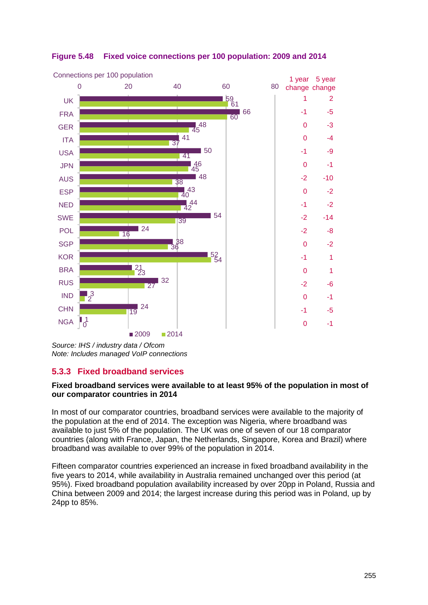

## <span id="page-52-1"></span>**Figure 5.48 Fixed voice connections per 100 population: 2009 and 2014**

## <span id="page-52-0"></span>**5.3.3 Fixed broadband services**

#### **Fixed broadband services were available to at least 95% of the population in most of our comparator countries in 2014**

In most of our comparator countries, broadband services were available to the majority of the population at the end of 2014. The exception was Nigeria, where broadband was available to just 5% of the population. The UK was one of seven of our 18 comparator countries (along with France, Japan, the Netherlands, Singapore, Korea and Brazil) where broadband was available to over 99% of the population in 2014.

Fifteen comparator countries experienced an increase in fixed broadband availability in the five years to 2014, while availability in Australia remained unchanged over this period (at 95%). Fixed broadband population availability increased by over 20pp in Poland, Russia and China between 2009 and 2014; the largest increase during this period was in Poland, up by 24pp to 85%.

*Source: IHS / industry data / Ofcom Note: Includes managed VoIP connections*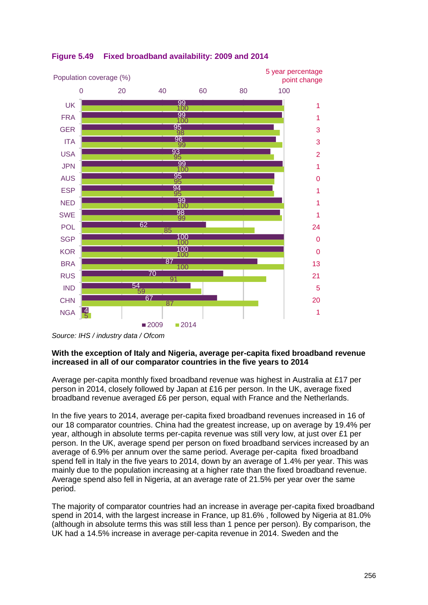

## **Figure 5.49 Fixed broadband availability: 2009 and 2014**

#### **With the exception of Italy and Nigeria, average per-capita fixed broadband revenue increased in all of our comparator countries in the five years to 2014**

Average per-capita monthly fixed broadband revenue was highest in Australia at £17 per person in 2014, closely followed by Japan at £16 per person. In the UK, average fixed broadband revenue averaged £6 per person, equal with France and the Netherlands.

In the five years to 2014, average per-capita fixed broadband revenues increased in 16 of our 18 comparator countries. China had the greatest increase, up on average by 19.4% per year, although in absolute terms per-capita revenue was still very low, at just over £1 per person. In the UK, average spend per person on fixed broadband services increased by an average of 6.9% per annum over the same period. Average per-capita fixed broadband spend fell in Italy in the five years to 2014, down by an average of 1.4% per year. This was mainly due to the population increasing at a higher rate than the fixed broadband revenue. Average spend also fell in Nigeria, at an average rate of 21.5% per year over the same period.

The majority of comparator countries had an increase in average per-capita fixed broadband spend in 2014, with the largest increase in France, up 81.6% , followed by Nigeria at 81.0% (although in absolute terms this was still less than 1 pence per person). By comparison, the UK had a 14.5% increase in average per-capita revenue in 2014. Sweden and the

*Source: IHS / industry data / Ofcom*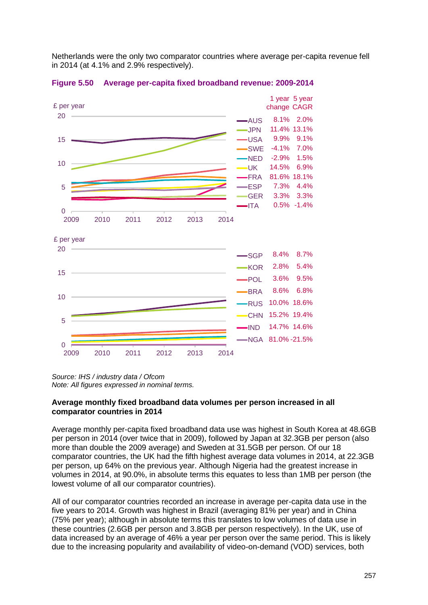Netherlands were the only two comparator countries where average per-capita revenue fell in 2014 (at 4.1% and 2.9% respectively).



**Figure 5.50 Average per-capita fixed broadband revenue: 2009-2014**

*Source: IHS / industry data / Ofcom Note: All figures expressed in nominal terms.*

#### **Average monthly fixed broadband data volumes per person increased in all comparator countries in 2014**

Average monthly per-capita fixed broadband data use was highest in South Korea at 48.6GB per person in 2014 (over twice that in 2009), followed by Japan at 32.3GB per person (also more than double the 2009 average) and Sweden at 31.5GB per person. Of our 18 comparator countries, the UK had the fifth highest average data volumes in 2014, at 22.3GB per person, up 64% on the previous year. Although Nigeria had the greatest increase in volumes in 2014, at 90.0%, in absolute terms this equates to less than 1MB per person (the lowest volume of all our comparator countries).

All of our comparator countries recorded an increase in average per-capita data use in the five years to 2014. Growth was highest in Brazil (averaging 81% per year) and in China (75% per year); although in absolute terms this translates to low volumes of data use in these countries (2.6GB per person and 3.8GB per person respectively). In the UK, use of data increased by an average of 46% a year per person over the same period. This is likely due to the increasing popularity and availability of video-on-demand (VOD) services, both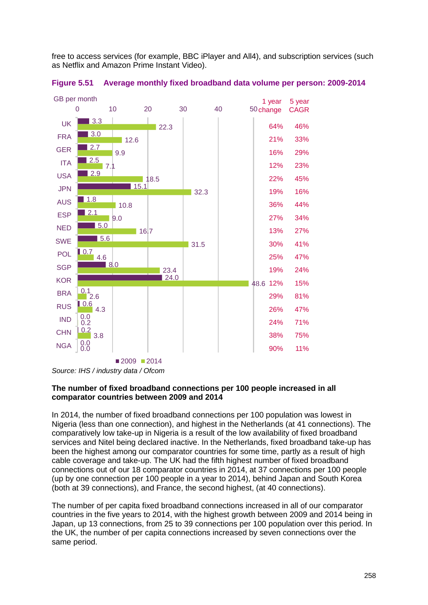free to access services (for example, BBC iPlayer and All4), and subscription services (such as Netflix and Amazon Prime Instant Video).



**Figure 5.51 Average monthly fixed broadband data volume per person: 2009-2014**

#### **The number of fixed broadband connections per 100 people increased in all comparator countries between 2009 and 2014**

In 2014, the number of fixed broadband connections per 100 population was lowest in Nigeria (less than one connection), and highest in the Netherlands (at 41 connections). The comparatively low take-up in Nigeria is a result of the low availability of fixed broadband services and Nitel being declared inactive. In the Netherlands, fixed broadband take-up has been the highest among our comparator countries for some time, partly as a result of high cable coverage and take-up. The UK had the fifth highest number of fixed broadband connections out of our 18 comparator countries in 2014, at 37 connections per 100 people (up by one connection per 100 people in a year to 2014), behind Japan and South Korea (both at 39 connections), and France, the second highest, (at 40 connections).

The number of per capita fixed broadband connections increased in all of our comparator countries in the five years to 2014, with the highest growth between 2009 and 2014 being in Japan, up 13 connections, from 25 to 39 connections per 100 population over this period. In the UK, the number of per capita connections increased by seven connections over the same period.

*Source: IHS / industry data / Ofcom*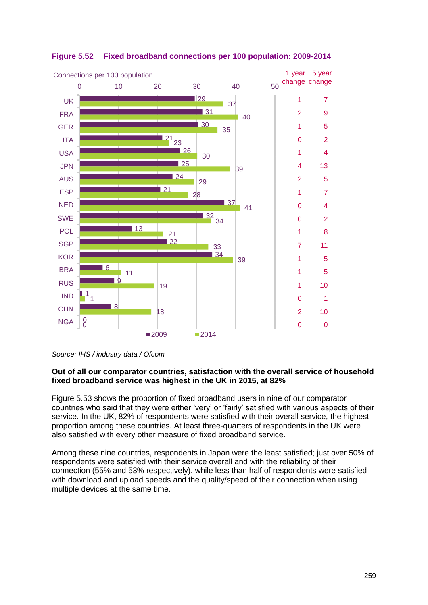

## **Figure 5.52 Fixed broadband connections per 100 population: 2009-2014**

*Source: IHS / industry data / Ofcom* 

#### **Out of all our comparator countries, satisfaction with the overall service of household fixed broadband service was highest in the UK in 2015, at 82%**

[Figure 5.53](#page-57-1) shows the proportion of fixed broadband users in nine of our comparator countries who said that they were either 'very' or 'fairly' satisfied with various aspects of their service. In the UK, 82% of respondents were satisfied with their overall service, the highest proportion among these countries. At least three-quarters of respondents in the UK were also satisfied with every other measure of fixed broadband service.

Among these nine countries, respondents in Japan were the least satisfied; just over 50% of respondents were satisfied with their service overall and with the reliability of their connection (55% and 53% respectively), while less than half of respondents were satisfied with download and upload speeds and the quality/speed of their connection when using multiple devices at the same time.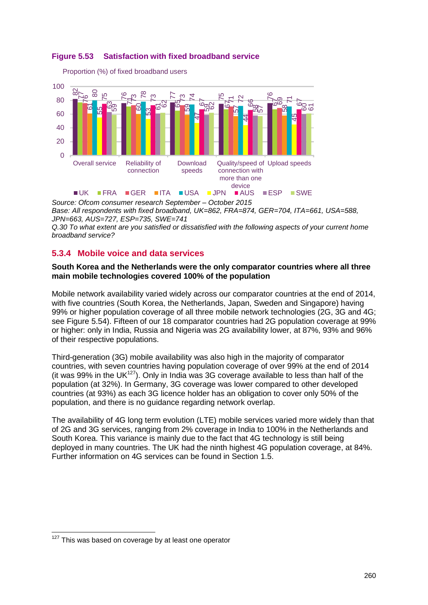<span id="page-57-1"></span>

Proportion (%) of fixed broadband users



*Source: Ofcom consumer research September – October 2015*

*Base: All respondents with fixed broadband, UK=862, FRA=874, GER=704, ITA=661, USA=588, JPN=663, AUS=727, ESP=735, SWE=741*

*Q.30 To what extent are you satisfied or dissatisfied with the following aspects of your current home broadband service?*

## <span id="page-57-0"></span>**5.3.4 Mobile voice and data services**

#### **South Korea and the Netherlands were the only comparator countries where all three main mobile technologies covered 100% of the population**

Mobile network availability varied widely across our comparator countries at the end of 2014, with five countries (South Korea, the Netherlands, Japan, Sweden and Singapore) having 99% or higher population coverage of all three mobile network technologies (2G, 3G and 4G; see [Figure 5.54\)](#page-58-0). Fifteen of our 18 comparator countries had 2G population coverage at 99% or higher: only in India, Russia and Nigeria was 2G availability lower, at 87%, 93% and 96% of their respective populations.

Third-generation (3G) mobile availability was also high in the majority of comparator countries, with seven countries having population coverage of over 99% at the end of 2014 (it was 99% in the UK<sup>127</sup>). Only in India was 3G coverage available to less than half of the population (at 32%). In Germany, 3G coverage was lower compared to other developed countries (at 93%) as each 3G licence holder has an obligation to cover only 50% of the population, and there is no guidance regarding network overlap.

The availability of 4G long term evolution (LTE) mobile services varied more widely than that of 2G and 3G services, ranging from 2% coverage in India to 100% in the Netherlands and South Korea. This variance is mainly due to the fact that 4G technology is still being deployed in many countries. The UK had the ninth highest 4G population coverage, at 84%. Further information on 4G services can be found in Section 1.5.

-

 $127$  This was based on coverage by at least one operator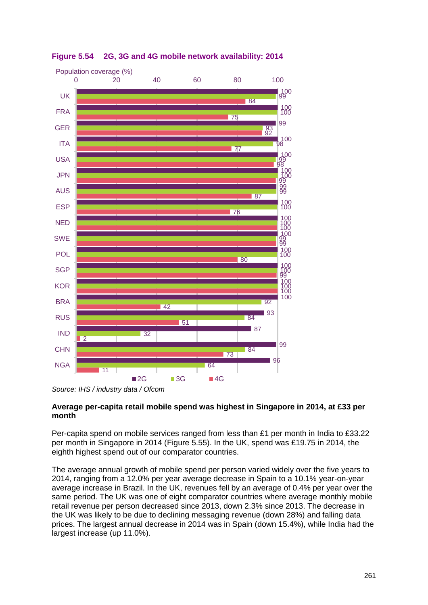

<span id="page-58-0"></span>**Figure 5.54 2G, 3G and 4G mobile network availability: 2014**

#### **Average per-capita retail mobile spend was highest in Singapore in 2014, at £33 per month**

Per-capita spend on mobile services ranged from less than £1 per month in India to £33.22 per month in Singapore in 2014 [\(Figure 5.55\)](#page-59-0). In the UK, spend was £19.75 in 2014, the eighth highest spend out of our comparator countries.

The average annual growth of mobile spend per person varied widely over the five years to 2014, ranging from a 12.0% per year average decrease in Spain to a 10.1% year-on-year average increase in Brazil. In the UK, revenues fell by an average of 0.4% per year over the same period. The UK was one of eight comparator countries where average monthly mobile retail revenue per person decreased since 2013, down 2.3% since 2013. The decrease in the UK was likely to be due to declining messaging revenue (down 28%) and falling data prices. The largest annual decrease in 2014 was in Spain (down 15.4%), while India had the largest increase (up 11.0%).

*Source: IHS / industry data / Ofcom*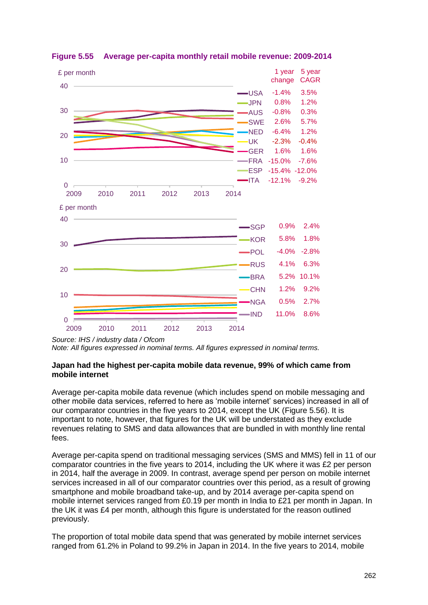

<span id="page-59-0"></span>**Figure 5.55 Average per-capita monthly retail mobile revenue: 2009-2014**

*Source: IHS / industry data / Ofcom*

*Note: All figures expressed in nominal terms. All figures expressed in nominal terms.*

#### **Japan had the highest per-capita mobile data revenue, 99% of which came from mobile internet**

Average per-capita mobile data revenue (which includes spend on mobile messaging and other mobile data services, referred to here as 'mobile internet' services) increased in all of our comparator countries in the five years to 2014, except the UK [\(Figure 5.56\)](#page-60-0). It is important to note, however, that figures for the UK will be understated as they exclude revenues relating to SMS and data allowances that are bundled in with monthly line rental fees.

Average per-capita spend on traditional messaging services (SMS and MMS) fell in 11 of our comparator countries in the five years to 2014, including the UK where it was £2 per person in 2014, half the average in 2009. In contrast, average spend per person on mobile internet services increased in all of our comparator countries over this period, as a result of growing smartphone and mobile broadband take-up, and by 2014 average per-capita spend on mobile internet services ranged from £0.19 per month in India to £21 per month in Japan. In the UK it was £4 per month, although this figure is understated for the reason outlined previously.

The proportion of total mobile data spend that was generated by mobile internet services ranged from 61.2% in Poland to 99.2% in Japan in 2014. In the five years to 2014, mobile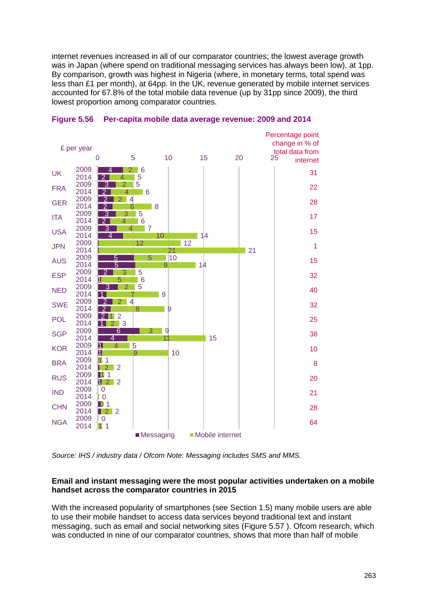internet revenues increased in all of our comparator countries; the lowest average growth was in Japan (where spend on traditional messaging services has always been low), at 1pp. By comparison, growth was highest in Nigeria (where, in monetary terms, total spend was less than £1 per month), at 64pp. In the UK, revenue generated by mobile internet services accounted for 67.8% of the total mobile data revenue (up by 31pp since 2009), the third lowest proportion among comparator countries.



#### <span id="page-60-0"></span>**Figure 5.56 Per-capita mobile data average revenue: 2009 and 2014**

*Source: IHS / industry data / Ofcom Note: Messaging includes SMS and MMS.*

#### **Email and instant messaging were the most popular activities undertaken on a mobile handset across the comparator countries in 2015**

With the increased popularity of smartphones (see Section 1.5) many mobile users are able to use their mobile handset to access data services beyond traditional text and instant messaging, such as email and social networking sites [\(Figure 5.57](#page-62-0) ). Ofcom research, which was conducted in nine of our comparator countries, shows that more than half of mobile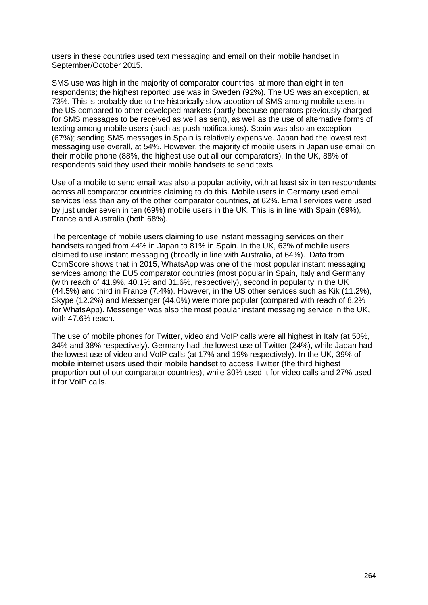users in these countries used text messaging and email on their mobile handset in September/October 2015.

SMS use was high in the majority of comparator countries, at more than eight in ten respondents; the highest reported use was in Sweden (92%). The US was an exception, at 73%. This is probably due to the historically slow adoption of SMS among mobile users in the US compared to other developed markets (partly because operators previously charged for SMS messages to be received as well as sent), as well as the use of alternative forms of texting among mobile users (such as push notifications). Spain was also an exception (67%); sending SMS messages in Spain is relatively expensive. Japan had the lowest text messaging use overall, at 54%. However, the majority of mobile users in Japan use email on their mobile phone (88%, the highest use out all our comparators). In the UK, 88% of respondents said they used their mobile handsets to send texts.

Use of a mobile to send email was also a popular activity, with at least six in ten respondents across all comparator countries claiming to do this. Mobile users in Germany used email services less than any of the other comparator countries, at 62%. Email services were used by just under seven in ten (69%) mobile users in the UK. This is in line with Spain (69%), France and Australia (both 68%).

The percentage of mobile users claiming to use instant messaging services on their handsets ranged from 44% in Japan to 81% in Spain. In the UK, 63% of mobile users claimed to use instant messaging (broadly in line with Australia, at 64%). Data from ComScore shows that in 2015, WhatsApp was one of the most popular instant messaging services among the EU5 comparator countries (most popular in Spain, Italy and Germany (with reach of 41.9%, 40.1% and 31.6%, respectively), second in popularity in the UK (44.5%) and third in France (7.4%). However, in the US other services such as Kik (11.2%), Skype (12.2%) and Messenger (44.0%) were more popular (compared with reach of 8.2% for WhatsApp). Messenger was also the most popular instant messaging service in the UK, with 47.6% reach.

The use of mobile phones for Twitter, video and VoIP calls were all highest in Italy (at 50%, 34% and 38% respectively). Germany had the lowest use of Twitter (24%), while Japan had the lowest use of video and VoIP calls (at 17% and 19% respectively). In the UK, 39% of mobile internet users used their mobile handset to access Twitter (the third highest proportion out of our comparator countries), while 30% used it for video calls and 27% used it for VoIP calls.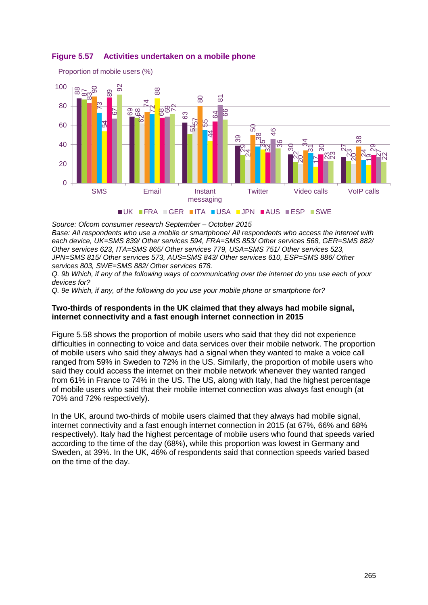

#### <span id="page-62-0"></span>**Figure 5.57 Activities undertaken on a mobile phone**

Proportion of mobile users (%)

*Source: Ofcom consumer research September – October 2015*

*Base: All respondents who use a mobile or smartphone/ All respondents who access the internet with each device, UK=SMS 839/ Other services 594, FRA=SMS 853/ Other services 568, GER=SMS 882/ Other services 623, ITA=SMS 865/ Other services 779, USA=SMS 751/ Other services 523, JPN=SMS 815/ Other services 573, AUS=SMS 843/ Other services 610, ESP=SMS 886/ Other services 803, SWE=SMS 882/ Other services 678.*

*Q. 9b Which, if any of the following ways of communicating over the internet do you use each of your devices for?*

*Q. 9e Which, if any, of the following do you use your mobile phone or smartphone for?*

#### **Two-thirds of respondents in the UK claimed that they always had mobile signal, internet connectivity and a fast enough internet connection in 2015**

[Figure 5.58](#page-63-0) shows the proportion of mobile users who said that they did not experience difficulties in connecting to voice and data services over their mobile network. The proportion of mobile users who said they always had a signal when they wanted to make a voice call ranged from 59% in Sweden to 72% in the US. Similarly, the proportion of mobile users who said they could access the internet on their mobile network whenever they wanted ranged from 61% in France to 74% in the US. The US, along with Italy, had the highest percentage of mobile users who said that their mobile internet connection was always fast enough (at 70% and 72% respectively).

In the UK, around two-thirds of mobile users claimed that they always had mobile signal, internet connectivity and a fast enough internet connection in 2015 (at 67%, 66% and 68% respectively). Italy had the highest percentage of mobile users who found that speeds varied according to the time of the day (68%), while this proportion was lowest in Germany and Sweden, at 39%. In the UK, 46% of respondents said that connection speeds varied based on the time of the day.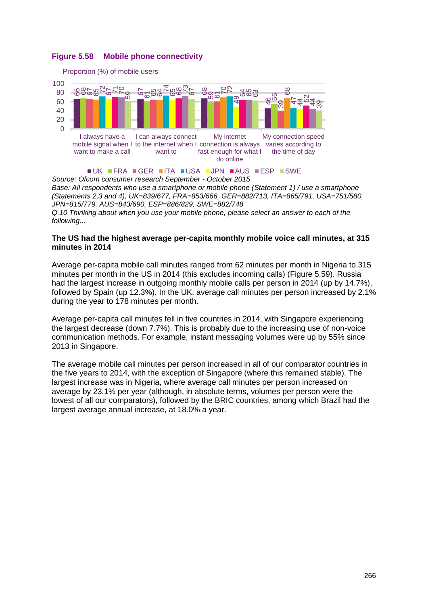#### <span id="page-63-0"></span>**Figure 5.58 Mobile phone connectivity**



*Source: Ofcom consumer research September - October 2015 Base: All respondents who use a smartphone or mobile phone (Statement 1) / use a smartphone (Statements 2,3 and 4), UK=839/677, FRA=853/666, GER=882/713, ITA=865/791, USA=751/580, JPN=815/779, AUS=843/690, ESP=886/829, SWE=882/748 Q.10 Thinking about when you use your mobile phone, please select an answer to each of the following...*

#### **The US had the highest average per-capita monthly mobile voice call minutes, at 315 minutes in 2014**

Average per-capita mobile call minutes ranged from 62 minutes per month in Nigeria to 315 minutes per month in the US in 2014 (this excludes incoming calls) [\(Figure 5.59\)](#page-64-0). Russia had the largest increase in outgoing monthly mobile calls per person in 2014 (up by 14.7%), followed by Spain (up 12.3%). In the UK, average call minutes per person increased by 2.1% during the year to 178 minutes per month.

Average per-capita call minutes fell in five countries in 2014, with Singapore experiencing the largest decrease (down 7.7%). This is probably due to the increasing use of non-voice communication methods. For example, instant messaging volumes were up by 55% since 2013 in Singapore.

The average mobile call minutes per person increased in all of our comparator countries in the five years to 2014, with the exception of Singapore (where this remained stable). The largest increase was in Nigeria, where average call minutes per person increased on average by 23.1% per year (although, in absolute terms, volumes per person were the lowest of all our comparators), followed by the BRIC countries, among which Brazil had the largest average annual increase, at 18.0% a year.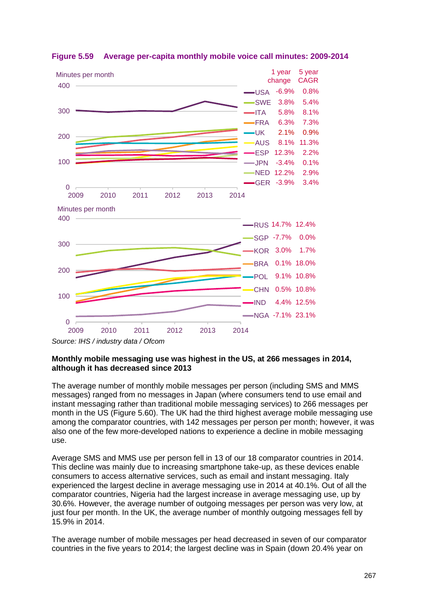

#### <span id="page-64-0"></span>**Figure 5.59 Average per-capita monthly mobile voice call minutes: 2009-2014**

#### **Monthly mobile messaging use was highest in the US, at 266 messages in 2014, although it has decreased since 2013**

The average number of monthly mobile messages per person (including SMS and MMS messages) ranged from no messages in Japan (where consumers tend to use email and instant messaging rather than traditional mobile messaging services) to 266 messages per month in the US [\(Figure 5.60\)](#page-65-0). The UK had the third highest average mobile messaging use among the comparator countries, with 142 messages per person per month; however, it was also one of the few more-developed nations to experience a decline in mobile messaging use.

Average SMS and MMS use per person fell in 13 of our 18 comparator countries in 2014. This decline was mainly due to increasing smartphone take-up, as these devices enable consumers to access alternative services, such as email and instant messaging. Italy experienced the largest decline in average messaging use in 2014 at 40.1%. Out of all the comparator countries, Nigeria had the largest increase in average messaging use, up by 30.6%. However, the average number of outgoing messages per person was very low, at just four per month. In the UK, the average number of monthly outgoing messages fell by 15.9% in 2014.

The average number of mobile messages per head decreased in seven of our comparator countries in the five years to 2014; the largest decline was in Spain (down 20.4% year on

*Source: IHS / industry data / Ofcom*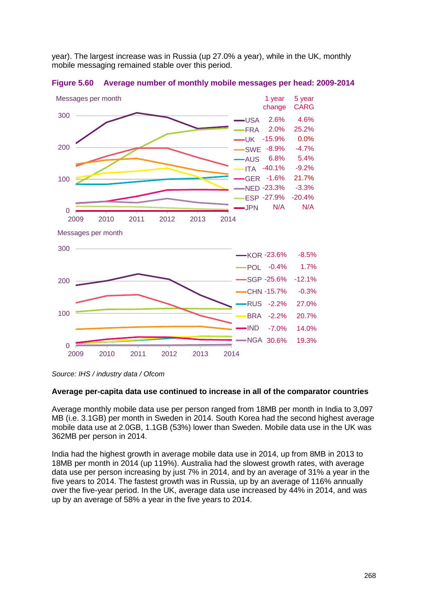year). The largest increase was in Russia (up 27.0% a year), while in the UK, monthly mobile messaging remained stable over this period.



<span id="page-65-0"></span>**Figure 5.60 Average number of monthly mobile messages per head: 2009-2014**

#### **Average per-capita data use continued to increase in all of the comparator countries**

Average monthly mobile data use per person ranged from 18MB per month in India to 3,097 MB (i.e. 3.1GB) per month in Sweden in 2014. South Korea had the second highest average mobile data use at 2.0GB, 1.1GB (53%) lower than Sweden. Mobile data use in the UK was 362MB per person in 2014.

India had the highest growth in average mobile data use in 2014, up from 8MB in 2013 to 18MB per month in 2014 (up 119%). Australia had the slowest growth rates, with average data use per person increasing by just 7% in 2014, and by an average of 31% a year in the five years to 2014. The fastest growth was in Russia, up by an average of 116% annually over the five-year period. In the UK, average data use increased by 44% in 2014, and was up by an average of 58% a year in the five years to 2014.

*Source: IHS / industry data / Ofcom*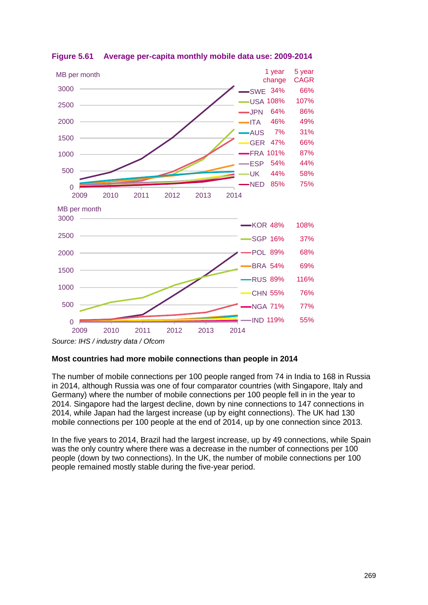

<span id="page-66-0"></span>**Figure 5.61 Average per-capita monthly mobile data use: 2009-2014**

#### **Most countries had more mobile connections than people in 2014**

The number of mobile connections per 100 people ranged from 74 in India to 168 in Russia in 2014, although Russia was one of four comparator countries (with Singapore, Italy and Germany) where the number of mobile connections per 100 people fell in in the year to 2014. Singapore had the largest decline, down by nine connections to 147 connections in 2014, while Japan had the largest increase (up by eight connections). The UK had 130 mobile connections per 100 people at the end of 2014, up by one connection since 2013.

In the five years to 2014, Brazil had the largest increase, up by 49 connections, while Spain was the only country where there was a decrease in the number of connections per 100 people (down by two connections). In the UK, the number of mobile connections per 100 people remained mostly stable during the five-year period.

*Source: IHS / industry data / Ofcom*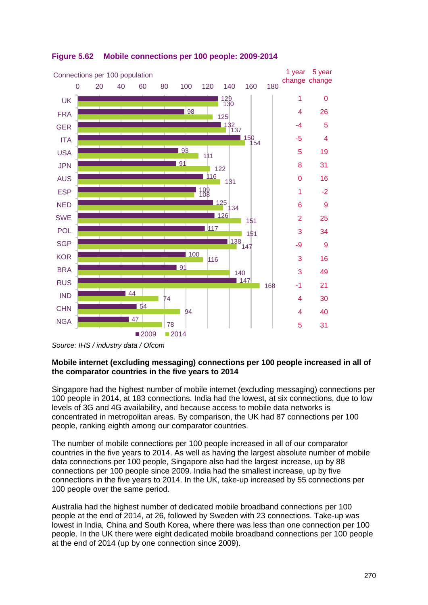

#### **Figure 5.62 Mobile connections per 100 people: 2009-2014**

#### **Mobile internet (excluding messaging) connections per 100 people increased in all of the comparator countries in the five years to 2014**

Singapore had the highest number of mobile internet (excluding messaging) connections per 100 people in 2014, at 183 connections. India had the lowest, at six connections, due to low levels of 3G and 4G availability, and because access to mobile data networks is concentrated in metropolitan areas. By comparison, the UK had 87 connections per 100 people, ranking eighth among our comparator countries.

The number of mobile connections per 100 people increased in all of our comparator countries in the five years to 2014. As well as having the largest absolute number of mobile data connections per 100 people, Singapore also had the largest increase, up by 88 connections per 100 people since 2009. India had the smallest increase, up by five connections in the five years to 2014. In the UK, take-up increased by 55 connections per 100 people over the same period.

Australia had the highest number of dedicated mobile broadband connections per 100 people at the end of 2014, at 26, followed by Sweden with 23 connections. Take-up was lowest in India, China and South Korea, where there was less than one connection per 100 people. In the UK there were eight dedicated mobile broadband connections per 100 people at the end of 2014 (up by one connection since 2009).

*Source: IHS / industry data / Ofcom*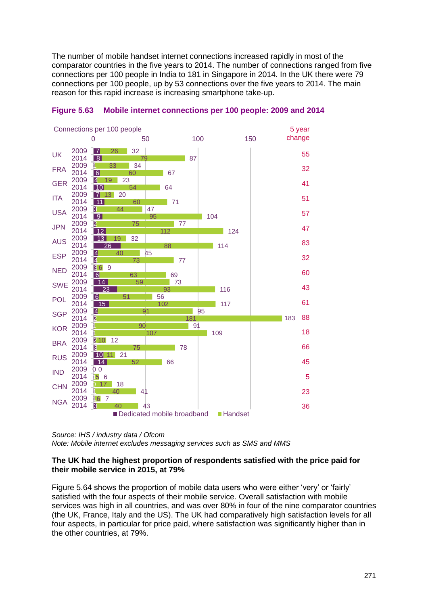The number of mobile handset internet connections increased rapidly in most of the comparator countries in the five years to 2014. The number of connections ranged from five connections per 100 people in India to 181 in Singapore in 2014. In the UK there were 79 connections per 100 people, up by 53 connections over the five years to 2014. The main reason for this rapid increase is increasing smartphone take-up.





*Source: IHS / industry data / Ofcom Note: Mobile internet excludes messaging services such as SMS and MMS*

#### **The UK had the highest proportion of respondents satisfied with the price paid for their mobile service in 2015, at 79%**

[Figure 5.64](#page-69-0) shows the proportion of mobile data users who were either 'very' or 'fairly' satisfied with the four aspects of their mobile service. Overall satisfaction with mobile services was high in all countries, and was over 80% in four of the nine comparator countries (the UK, France, Italy and the US). The UK had comparatively high satisfaction levels for all four aspects, in particular for price paid, where satisfaction was significantly higher than in the other countries, at 79%.